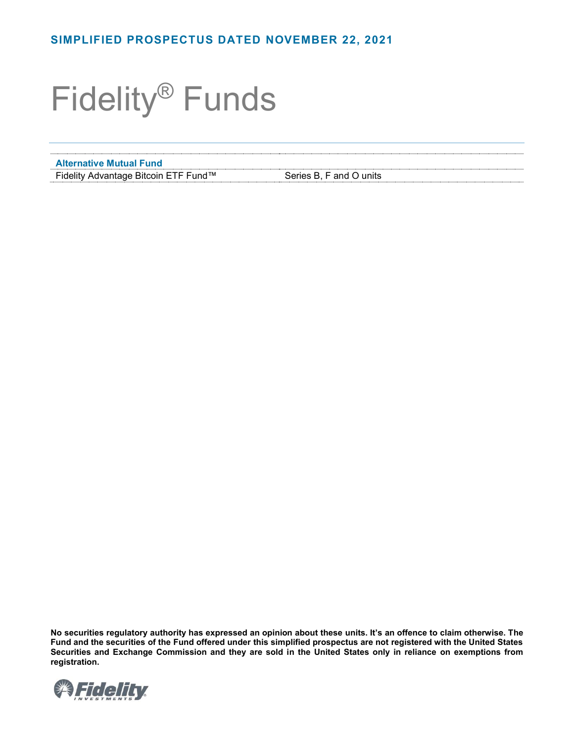# Fidelity® Funds

**Alternative Mutual Fund**

Fidelity Advantage Bitcoin ETF Fund™ Series B, F and O units

**No securities regulatory authority has expressed an opinion about these units. It's an offence to claim otherwise. The Fund and the securities of the Fund offered under this simplified prospectus are not registered with the United States Securities and Exchange Commission and they are sold in the United States only in reliance on exemptions from registration.**

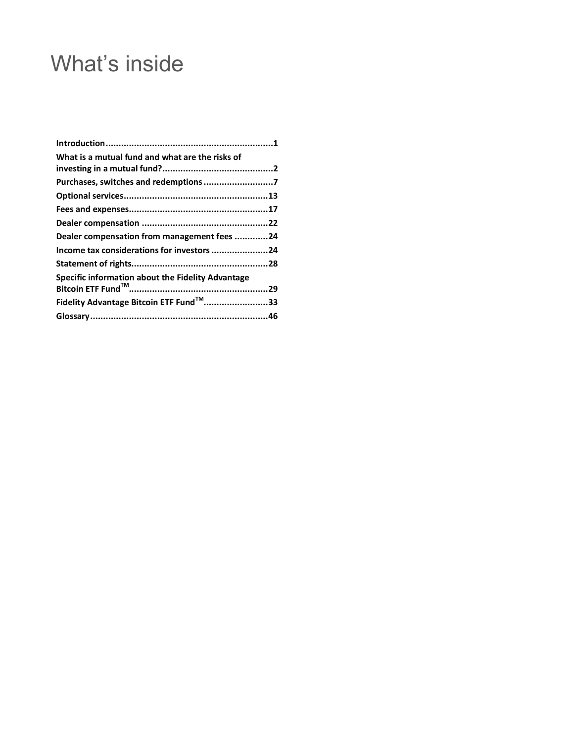## What's inside

| What is a mutual fund and what are the risks of   |  |
|---------------------------------------------------|--|
|                                                   |  |
|                                                   |  |
|                                                   |  |
|                                                   |  |
| Dealer compensation from management fees 24       |  |
| Income tax considerations for investors 24        |  |
|                                                   |  |
| Specific information about the Fidelity Advantage |  |
| Fidelity Advantage Bitcoin ETF Fund™33            |  |
|                                                   |  |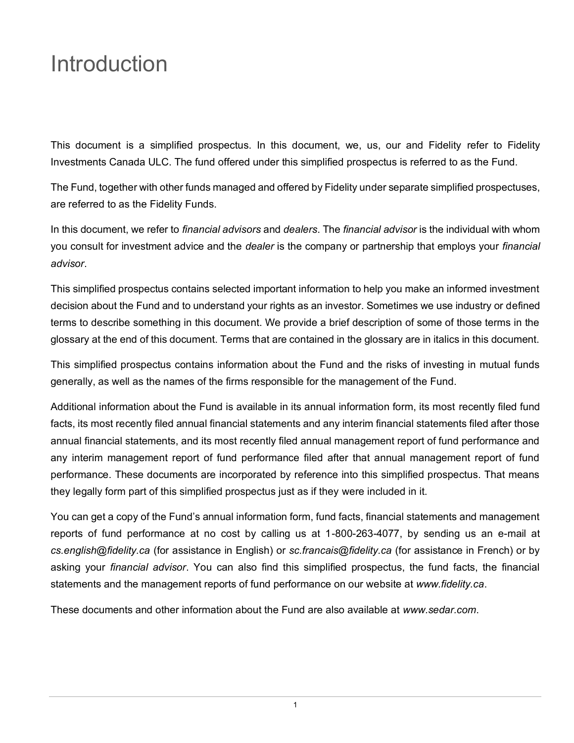## <span id="page-2-0"></span>Introduction

This document is a simplified prospectus. In this document, we, us, our and Fidelity refer to Fidelity Investments Canada ULC. The fund offered under this simplified prospectus is referred to as the Fund.

The Fund, together with other funds managed and offered by Fidelity under separate simplified prospectuses, are referred to as the Fidelity Funds.

In this document, we refer to *financial advisors* and *dealers*. The *financial advisor* is the individual with whom you consult for investment advice and the *dealer* is the company or partnership that employs your *financial advisor*.

This simplified prospectus contains selected important information to help you make an informed investment decision about the Fund and to understand your rights as an investor. Sometimes we use industry or defined terms to describe something in this document. We provide a brief description of some of those terms in the glossary at the end of this document. Terms that are contained in the glossary are in italics in this document.

This simplified prospectus contains information about the Fund and the risks of investing in mutual funds generally, as well as the names of the firms responsible for the management of the Fund.

Additional information about the Fund is available in its annual information form, its most recently filed fund facts, its most recently filed annual financial statements and any interim financial statements filed after those annual financial statements, and its most recently filed annual management report of fund performance and any interim management report of fund performance filed after that annual management report of fund performance. These documents are incorporated by reference into this simplified prospectus. That means they legally form part of this simplified prospectus just as if they were included in it.

You can get a copy of the Fund's annual information form, fund facts, financial statements and management reports of fund performance at no cost by calling us at 1-800-263-4077, by sending us an e-mail at *[cs.english@fidelity.ca](mailto:cs.english@fidelity.ca)* (for assistance in English) or *[sc.francais@fidelity.ca](mailto:sc.francais@fidelity.ca)* (for assistance in French) or by asking your *financial advisor*. You can also find this simplified prospectus, the fund facts, the financial statements and the management reports of fund performance on our website at *[www.fidelity.ca](https://www.fidelity.ca)*.

These documents and other information about the Fund are also available at *[www.sedar.com](https://www.sedar.com/homepage_en.htm)*.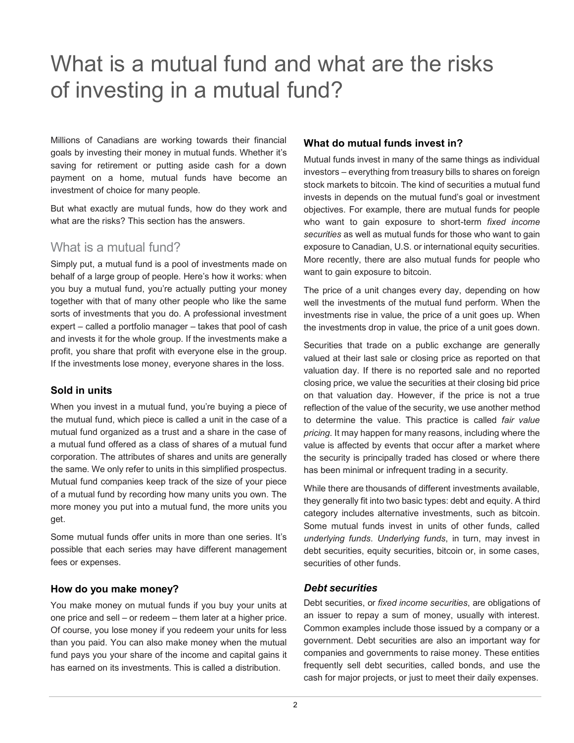## <span id="page-3-0"></span>What is a mutual fund and what are the risks of investing in a mutual fund?

Millions of Canadians are working towards their financial goals by investing their money in mutual funds. Whether it's saving for retirement or putting aside cash for a down payment on a home, mutual funds have become an investment of choice for many people.

But what exactly are mutual funds, how do they work and what are the risks? This section has the answers.

## What is a mutual fund?

Simply put, a mutual fund is a pool of investments made on behalf of a large group of people. Here's how it works: when you buy a mutual fund, you're actually putting your money together with that of many other people who like the same sorts of investments that you do. A professional investment expert – called a portfolio manager – takes that pool of cash and invests it for the whole group. If the investments make a profit, you share that profit with everyone else in the group. If the investments lose money, everyone shares in the loss.

## **Sold in units**

When you invest in a mutual fund, you're buying a piece of the mutual fund, which piece is called a unit in the case of a mutual fund organized as a trust and a share in the case of a mutual fund offered as a class of shares of a mutual fund corporation. The attributes of shares and units are generally the same. We only refer to units in this simplified prospectus. Mutual fund companies keep track of the size of your piece of a mutual fund by recording how many units you own. The more money you put into a mutual fund, the more units you get.

Some mutual funds offer units in more than one series. It's possible that each series may have different management fees or expenses.

## **How do you make money?**

You make money on mutual funds if you buy your units at one price and sell – or redeem – them later at a higher price. Of course, you lose money if you redeem your units for less than you paid. You can also make money when the mutual fund pays you your share of the income and capital gains it has earned on its investments. This is called a distribution.

## **What do mutual funds invest in?**

Mutual funds invest in many of the same things as individual investors – everything from treasury bills to shares on foreign stock markets to bitcoin. The kind of securities a mutual fund invests in depends on the mutual fund's goal or investment objectives. For example, there are mutual funds for people who want to gain exposure to short-term *fixed income securities* as well as mutual funds for those who want to gain exposure to Canadian, U.S. or international equity securities. More recently, there are also mutual funds for people who want to gain exposure to bitcoin.

The price of a unit changes every day, depending on how well the investments of the mutual fund perform. When the investments rise in value, the price of a unit goes up. When the investments drop in value, the price of a unit goes down.

Securities that trade on a public exchange are generally valued at their last sale or closing price as reported on that valuation day. If there is no reported sale and no reported closing price, we value the securities at their closing bid price on that valuation day. However, if the price is not a true reflection of the value of the security, we use another method to determine the value. This practice is called *fair value pricing*. It may happen for many reasons, including where the value is affected by events that occur after a market where the security is principally traded has closed or where there has been minimal or infrequent trading in a security.

While there are thousands of different investments available, they generally fit into two basic types: debt and equity. A third category includes alternative investments, such as bitcoin. Some mutual funds invest in units of other funds, called *underlying funds*. *Underlying funds*, in turn, may invest in debt securities, equity securities, bitcoin or, in some cases, securities of other funds.

## *Debt securities*

Debt securities, or *fixed income securities*, are obligations of an issuer to repay a sum of money, usually with interest. Common examples include those issued by a company or a government. Debt securities are also an important way for companies and governments to raise money. These entities frequently sell debt securities, called bonds, and use the cash for major projects, or just to meet their daily expenses.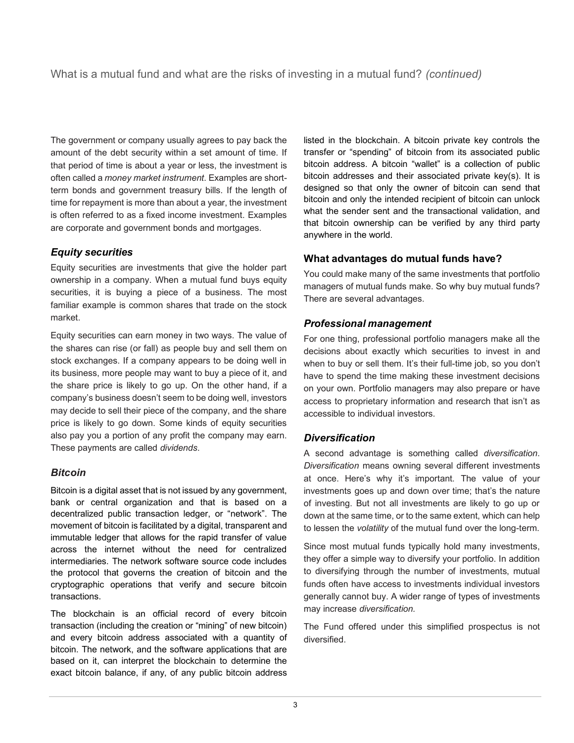The government or company usually agrees to pay back the amount of the debt security within a set amount of time. If that period of time is about a year or less, the investment is often called a *money market instrument*. Examples are shortterm bonds and government treasury bills. If the length of time for repayment is more than about a year, the investment is often referred to as a fixed income investment. Examples are corporate and government bonds and mortgages.

## *Equity securities*

Equity securities are investments that give the holder part ownership in a company. When a mutual fund buys equity securities, it is buying a piece of a business. The most familiar example is common shares that trade on the stock market.

Equity securities can earn money in two ways. The value of the shares can rise (or fall) as people buy and sell them on stock exchanges. If a company appears to be doing well in its business, more people may want to buy a piece of it, and the share price is likely to go up. On the other hand, if a company's business doesn't seem to be doing well, investors may decide to sell their piece of the company, and the share price is likely to go down. Some kinds of equity securities also pay you a portion of any profit the company may earn. These payments are called *dividends*.

## *Bitcoin*

Bitcoin is a digital asset that is not issued by any government, bank or central organization and that is based on a decentralized public transaction ledger, or "network". The movement of bitcoin is facilitated by a digital, transparent and immutable ledger that allows for the rapid transfer of value across the internet without the need for centralized intermediaries. The network software source code includes the protocol that governs the creation of bitcoin and the cryptographic operations that verify and secure bitcoin transactions.

The blockchain is an official record of every bitcoin transaction (including the creation or "mining" of new bitcoin) and every bitcoin address associated with a quantity of bitcoin. The network, and the software applications that are based on it, can interpret the blockchain to determine the exact bitcoin balance, if any, of any public bitcoin address listed in the blockchain. A bitcoin private key controls the transfer or "spending" of bitcoin from its associated public bitcoin address. A bitcoin "wallet" is a collection of public bitcoin addresses and their associated private key(s). It is designed so that only the owner of bitcoin can send that bitcoin and only the intended recipient of bitcoin can unlock what the sender sent and the transactional validation, and that bitcoin ownership can be verified by any third party anywhere in the world.

## **What advantages do mutual funds have?**

You could make many of the same investments that portfolio managers of mutual funds make. So why buy mutual funds? There are several advantages.

## *Professional management*

For one thing, professional portfolio managers make all the decisions about exactly which securities to invest in and when to buy or sell them. It's their full-time job, so you don't have to spend the time making these investment decisions on your own. Portfolio managers may also prepare or have access to proprietary information and research that isn't as accessible to individual investors.

## *Diversification*

A second advantage is something called *diversification*. *Diversification* means owning several different investments at once. Here's why it's important. The value of your investments goes up and down over time; that's the nature of investing. But not all investments are likely to go up or down at the same time, or to the same extent, which can help to lessen the *volatility* of the mutual fund over the long-term.

Since most mutual funds typically hold many investments, they offer a simple way to diversify your portfolio. In addition to diversifying through the number of investments, mutual funds often have access to investments individual investors generally cannot buy. A wider range of types of investments may increase *diversification.*

The Fund offered under this simplified prospectus is not diversified.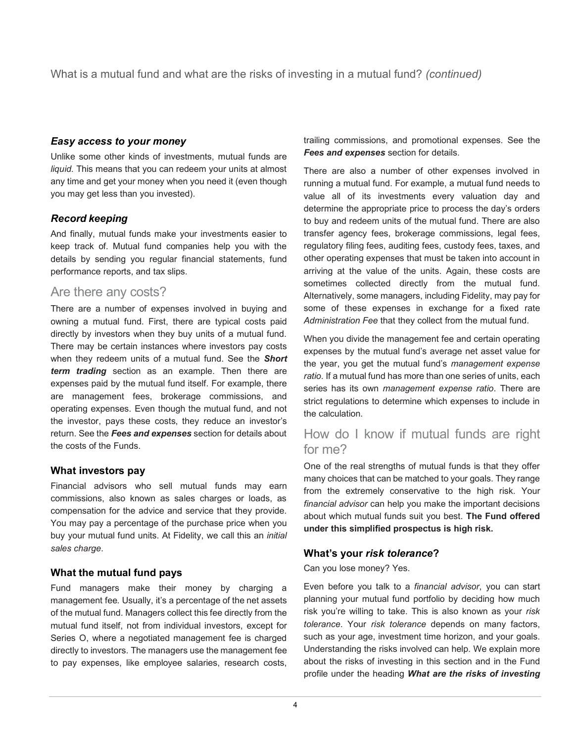What is a mutual fund and what are the risks of investing in a mutual fund? *(continued)*

## *Easy access to your money*

Unlike some other kinds of investments, mutual funds are *liquid*. This means that you can redeem your units at almost any time and get your money when you need it (even though you may get less than you invested).

## *Record keeping*

And finally, mutual funds make your investments easier to keep track of. Mutual fund companies help you with the details by sending you regular financial statements, fund performance reports, and tax slips.

## Are there any costs?

There are a number of expenses involved in buying and owning a mutual fund. First, there are typical costs paid directly by investors when they buy units of a mutual fund. There may be certain instances where investors pay costs when they redeem units of a mutual fund. See the *Short term trading* section as an example. Then there are expenses paid by the mutual fund itself. For example, there are management fees, brokerage commissions, and operating expenses. Even though the mutual fund, and not the investor, pays these costs, they reduce an investor's return. See the *Fees and expenses* section for details about the costs of the Funds.

## **What investors pay**

Financial advisors who sell mutual funds may earn commissions, also known as sales charges or loads, as compensation for the advice and service that they provide. You may pay a percentage of the purchase price when you buy your mutual fund units. At Fidelity, we call this an *initial sales charge*.

## **What the mutual fund pays**

Fund managers make their money by charging a management fee. Usually, it's a percentage of the net assets of the mutual fund. Managers collect this fee directly from the mutual fund itself, not from individual investors, except for Series O, where a negotiated management fee is charged directly to investors. The managers use the management fee to pay expenses, like employee salaries, research costs,

trailing commissions, and promotional expenses. See the *Fees and expenses* section for details.

There are also a number of other expenses involved in running a mutual fund. For example, a mutual fund needs to value all of its investments every valuation day and determine the appropriate price to process the day's orders to buy and redeem units of the mutual fund. There are also transfer agency fees, brokerage commissions, legal fees, regulatory filing fees, auditing fees, custody fees, taxes, and other operating expenses that must be taken into account in arriving at the value of the units. Again, these costs are sometimes collected directly from the mutual fund. Alternatively, some managers, including Fidelity, may pay for some of these expenses in exchange for a fixed rate *Administration Fee* that they collect from the mutual fund.

When you divide the management fee and certain operating expenses by the mutual fund's average net asset value for the year, you get the mutual fund's *management expense ratio*. If a mutual fund has more than one series of units, each series has its own *management expense ratio*. There are strict regulations to determine which expenses to include in the calculation.

## How do I know if mutual funds are right for me?

One of the real strengths of mutual funds is that they offer many choices that can be matched to your goals. They range from the extremely conservative to the high risk. Your *financial advisor* can help you make the important decisions about which mutual funds suit you best. **The Fund offered under this simplified prospectus is high risk.**

## **What's your** *risk tolerance***?**

Can you lose money? Yes.

Even before you talk to a *financial advisor*, you can start planning your mutual fund portfolio by deciding how much risk you're willing to take. This is also known as your *risk tolerance*. Your *risk tolerance* depends on many factors, such as your age, investment time horizon, and your goals. Understanding the risks involved can help. We explain more about the risks of investing in this section and in the Fund profile under the heading *What are the risks of investing*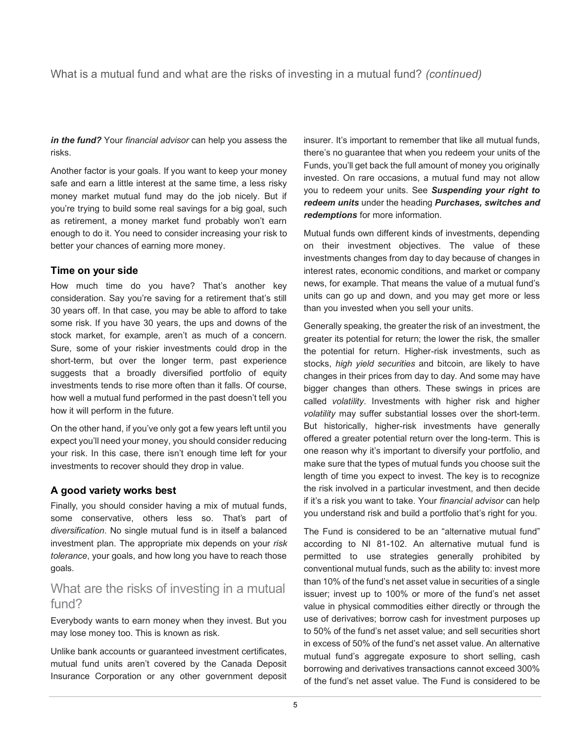## What is a mutual fund and what are the risks of investing in a mutual fund? *(continued)*

*in the fund?* Your *financial advisor* can help you assess the risks.

Another factor is your goals. If you want to keep your money safe and earn a little interest at the same time, a less risky money market mutual fund may do the job nicely. But if you're trying to build some real savings for a big goal, such as retirement, a money market fund probably won't earn enough to do it. You need to consider increasing your risk to better your chances of earning more money.

#### **Time on your side**

How much time do you have? That's another key consideration. Say you're saving for a retirement that's still 30 years off. In that case, you may be able to afford to take some risk. If you have 30 years, the ups and downs of the stock market, for example, aren't as much of a concern. Sure, some of your riskier investments could drop in the short-term, but over the longer term, past experience suggests that a broadly diversified portfolio of equity investments tends to rise more often than it falls. Of course, how well a mutual fund performed in the past doesn't tell you how it will perform in the future.

On the other hand, if you've only got a few years left until you expect you'll need your money, you should consider reducing your risk. In this case, there isn't enough time left for your investments to recover should they drop in value.

## **A good variety works best**

Finally, you should consider having a mix of mutual funds, some conservative, others less so. That's part of *diversification*. No single mutual fund is in itself a balanced investment plan. The appropriate mix depends on your *risk tolerance*, your goals, and how long you have to reach those goals.

## What are the risks of investing in a mutual fund?

Everybody wants to earn money when they invest. But you may lose money too. This is known as risk.

Unlike bank accounts or guaranteed investment certificates, mutual fund units aren't covered by the Canada Deposit Insurance Corporation or any other government deposit insurer. It's important to remember that like all mutual funds, there's no guarantee that when you redeem your units of the Funds, you'll get back the full amount of money you originally invested. On rare occasions, a mutual fund may not allow you to redeem your units. See *Suspending your right to redeem units* under the heading *Purchases, switches and redemptions* for more information.

Mutual funds own different kinds of investments, depending on their investment objectives. The value of these investments changes from day to day because of changes in interest rates, economic conditions, and market or company news, for example. That means the value of a mutual fund's units can go up and down, and you may get more or less than you invested when you sell your units.

Generally speaking, the greater the risk of an investment, the greater its potential for return; the lower the risk, the smaller the potential for return. Higher-risk investments, such as stocks, *high yield securities* and bitcoin, are likely to have changes in their prices from day to day. And some may have bigger changes than others. These swings in prices are called *volatility*. Investments with higher risk and higher *volatility* may suffer substantial losses over the short-term. But historically, higher-risk investments have generally offered a greater potential return over the long-term. This is one reason why it's important to diversify your portfolio, and make sure that the types of mutual funds you choose suit the length of time you expect to invest. The key is to recognize the risk involved in a particular investment, and then decide if it's a risk you want to take. Your *financial advisor* can help you understand risk and build a portfolio that's right for you.

The Fund is considered to be an "alternative mutual fund" according to NI 81-102. An alternative mutual fund is permitted to use strategies generally prohibited by conventional mutual funds, such as the ability to: invest more than 10% of the fund's net asset value in securities of a single issuer; invest up to 100% or more of the fund's net asset value in physical commodities either directly or through the use of derivatives; borrow cash for investment purposes up to 50% of the fund's net asset value; and sell securities short in excess of 50% of the fund's net asset value. An alternative mutual fund's aggregate exposure to short selling, cash borrowing and derivatives transactions cannot exceed 300% of the fund's net asset value. The Fund is considered to be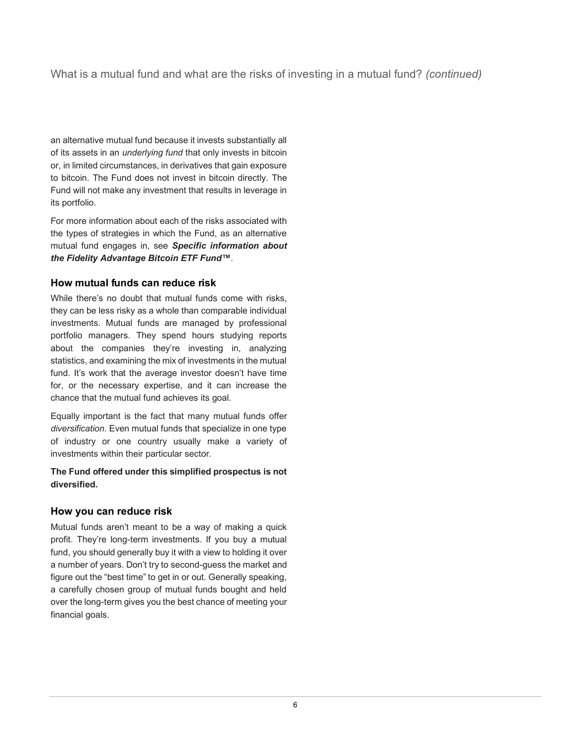## What is a mutual fund and what are the risks of investing in a mutual fund? *(continued)*

an alternative mutual fund because it invests substantially all of its assets in an *underlying fund* that only invests in bitcoin or, in limited circumstances, in derivatives that gain exposure to bitcoin. The Fund does not invest in bitcoin directly. The Fund will not make any investment that results in leverage in its portfolio.

For more information about each of the risks associated with the types of strategies in which the Fund, as an alternative mutual fund engages in, see *Specific information about the Fidelity Advantage Bitcoin ETF Fund™*.

## **How mutual funds can reduce risk**

While there's no doubt that mutual funds come with risks, they can be less risky as a whole than comparable individual investments. Mutual funds are managed by professional portfolio managers. They spend hours studying reports about the companies they're investing in, analyzing statistics, and examining the mix of investments in the mutual fund. It's work that the average investor doesn't have time for, or the necessary expertise, and it can increase the chance that the mutual fund achieves its goal.

Equally important is the fact that many mutual funds offer *diversification*. Even mutual funds that specialize in one type of industry or one country usually make a variety of investments within their particular sector.

#### **The Fund offered under this simplified prospectus is not diversified.**

## **How you can reduce risk**

Mutual funds aren't meant to be a way of making a quick profit. They're long-term investments. If you buy a mutual fund, you should generally buy it with a view to holding it over a number of years. Don't try to second-guess the market and figure out the "best time" to get in or out. Generally speaking, a carefully chosen group of mutual funds bought and held over the long-term gives you the best chance of meeting your financial goals.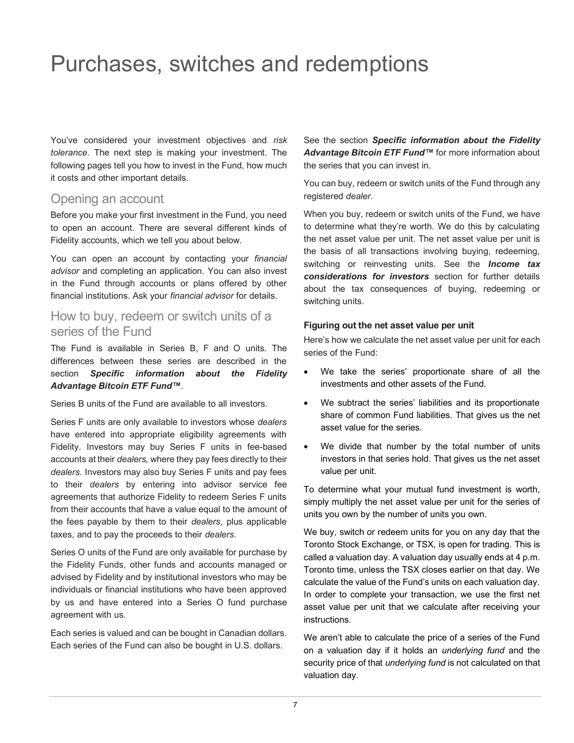## <span id="page-8-0"></span>Purchases, switches and redemptions

You've considered your investment objectives and *risk tolerance*. The next step is making your investment. The following pages tell you how to invest in the Fund, how much it costs and other important details.

## Opening an account

Before you make your first investment in the Fund, you need to open an account. There are several different kinds of Fidelity accounts, which we tell you about below.

You can open an account by contacting your *financial advisor* and completing an application. You can also invest in the Fund through accounts or plans offered by other financial institutions. Ask your *financial advisor* for details.

## How to buy, redeem or switch units of a series of the Fund

The Fund is available in Series B, F and O units. The differences between these series are described in the section *Specific information about the Fidelity Advantage Bitcoin ETF Fund™*.

Series B units of the Fund are available to all investors.

Series F units are only available to investors whose *dealers* have entered into appropriate eligibility agreements with Fidelity. Investors may buy Series F units in fee-based accounts at their *dealers,* where they pay fees directly to their *dealers.* Investors may also buy Series F units and pay fees to their *dealers* by entering into advisor service fee agreements that authorize Fidelity to redeem Series F units from their accounts that have a value equal to the amount of the fees payable by them to their *dealers*, plus applicable taxes, and to pay the proceeds to their *dealers*.

Series O units of the Fund are only available for purchase by the Fidelity Funds, other funds and accounts managed or advised by Fidelity and by institutional investors who may be individuals or financial institutions who have been approved by us and have entered into a Series O fund purchase agreement with us.

Each series is valued and can be bought in Canadian dollars. Each series of the Fund can also be bought in U.S. dollars.

See the section *Specific information about the Fidelity Advantage Bitcoin ETF Fund™* for more information about the series that you can invest in.

You can buy, redeem or switch units of the Fund through any registered *dealer*.

When you buy, redeem or switch units of the Fund, we have to determine what they're worth. We do this by calculating the net asset value per unit. The net asset value per unit is the basis of all transactions involving buying, redeeming, switching or reinvesting units. See the *Income tax considerations for investors* section for further details about the tax consequences of buying, redeeming or switching units.

#### **Figuring out the net asset value per unit**

Here's how we calculate the net asset value per unit for each series of the Fund:

- We take the series' proportionate share of all the investments and other assets of the Fund.
- We subtract the series' liabilities and its proportionate share of common Fund liabilities. That gives us the net asset value for the series.
- We divide that number by the total number of units investors in that series hold. That gives us the net asset value per unit.

To determine what your mutual fund investment is worth, simply multiply the net asset value per unit for the series of units you own by the number of units you own.

We buy, switch or redeem units for you on any day that the Toronto Stock Exchange, or TSX*,* is open for trading. This is called a valuation day. A valuation day usually ends at 4 p.m. Toronto time, unless the TSX closes earlier on that day. We calculate the value of the Fund's units on each valuation day. In order to complete your transaction, we use the first net asset value per unit that we calculate after receiving your instructions.

We aren't able to calculate the price of a series of the Fund on a valuation day if it holds an *underlying fund* and the security price of that *underlying fund* is not calculated on that valuation day.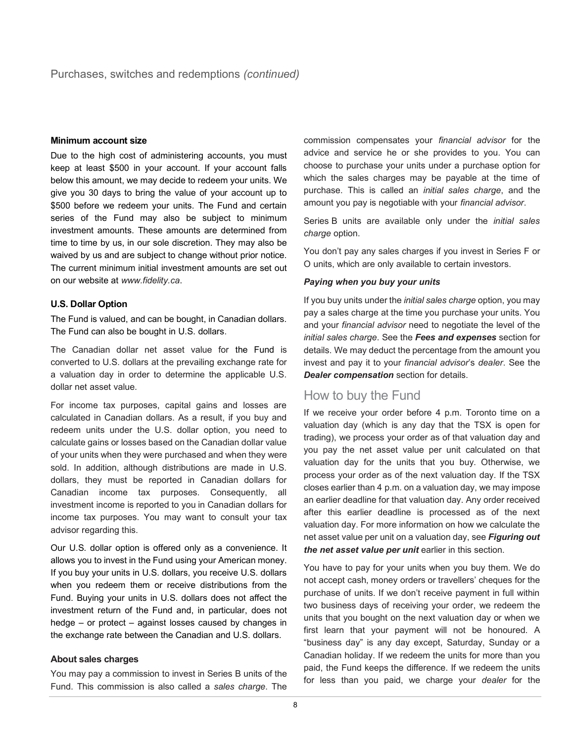#### **Minimum account size**

Due to the high cost of administering accounts, you must keep at least \$500 in your account. If your account falls below this amount, we may decide to redeem your units. We give you 30 days to bring the value of your account up to \$500 before we redeem your units. The Fund and certain series of the Fund may also be subject to minimum investment amounts. These amounts are determined from time to time by us, in our sole discretion. They may also be waived by us and are subject to change without prior notice. The current minimum initial investment amounts are set out on our website at *www.fidelity.ca*.

#### **U.S. Dollar Option**

The Fund is valued, and can be bought, in Canadian dollars. The Fund can also be bought in U.S. dollars.

The Canadian dollar net asset value for the Fund is converted to U.S. dollars at the prevailing exchange rate for a valuation day in order to determine the applicable U.S. dollar net asset value.

For income tax purposes, capital gains and losses are calculated in Canadian dollars. As a result, if you buy and redeem units under the U.S. dollar option, you need to calculate gains or losses based on the Canadian dollar value of your units when they were purchased and when they were sold. In addition, although distributions are made in U.S. dollars, they must be reported in Canadian dollars for Canadian income tax purposes. Consequently, all investment income is reported to you in Canadian dollars for income tax purposes. You may want to consult your tax advisor regarding this.

Our U.S. dollar option is offered only as a convenience. It allows you to invest in the Fund using your American money. If you buy your units in U.S. dollars, you receive U.S. dollars when you redeem them or receive distributions from the Fund. Buying your units in U.S. dollars does not affect the investment return of the Fund and, in particular, does not hedge – or protect – against losses caused by changes in the exchange rate between the Canadian and U.S. dollars.

#### **About sales charges**

You may pay a commission to invest in Series B units of the Fund. This commission is also called a *sales charge*. The

commission compensates your *financial advisor* for the advice and service he or she provides to you. You can choose to purchase your units under a purchase option for which the sales charges may be payable at the time of purchase. This is called an *initial sales charge*, and the amount you pay is negotiable with your *financial advisor*.

Series B units are available only under the *initial sales charge* option.

You don't pay any sales charges if you invest in Series F or O units, which are only available to certain investors.

#### *Paying when you buy your units*

If you buy units under the *initial sales charge* option, you may pay a sales charge at the time you purchase your units. You and your *financial advisor* need to negotiate the level of the *initial sales charge*. See the *Fees and expenses* section for details. We may deduct the percentage from the amount you invest and pay it to your *financial advisor*'s *dealer*. See the *Dealer compensation* section for details.

## How to buy the Fund

If we receive your order before 4 p.m. Toronto time on a valuation day (which is any day that the TSX is open for trading), we process your order as of that valuation day and you pay the net asset value per unit calculated on that valuation day for the units that you buy. Otherwise, we process your order as of the next valuation day. If the TSX closes earlier than 4 p.m. on a valuation day, we may impose an earlier deadline for that valuation day. Any order received after this earlier deadline is processed as of the next valuation day. For more information on how we calculate the net asset value per unit on a valuation day, see *Figuring out the net asset value per unit* earlier in this section.

You have to pay for your units when you buy them. We do not accept cash, money orders or travellers' cheques for the purchase of units. If we don't receive payment in full within two business days of receiving your order, we redeem the units that you bought on the next valuation day or when we first learn that your payment will not be honoured. A "business day" is any day except, Saturday, Sunday or a Canadian holiday. If we redeem the units for more than you paid, the Fund keeps the difference. If we redeem the units for less than you paid, we charge your *dealer* for the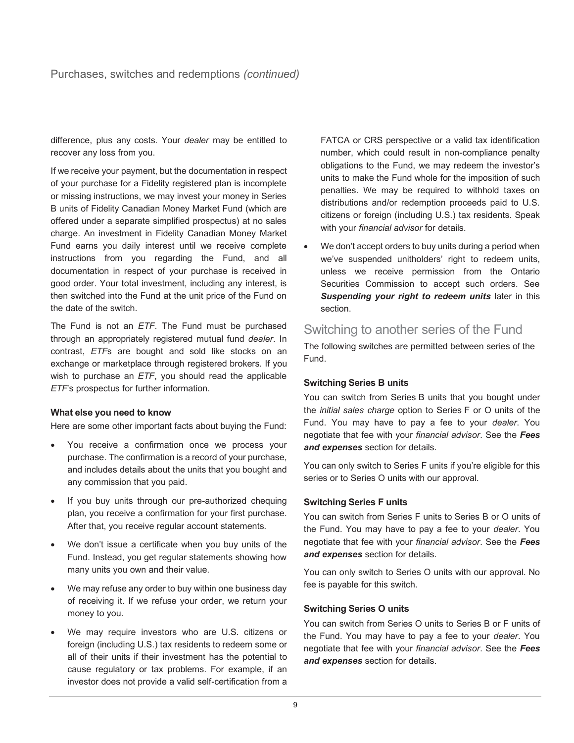difference, plus any costs. Your *dealer* may be entitled to recover any loss from you.

If we receive your payment, but the documentation in respect of your purchase for a Fidelity registered plan is incomplete or missing instructions, we may invest your money in Series B units of Fidelity Canadian Money Market Fund (which are offered under a separate simplified prospectus) at no sales charge. An investment in Fidelity Canadian Money Market Fund earns you daily interest until we receive complete instructions from you regarding the Fund, and all documentation in respect of your purchase is received in good order. Your total investment, including any interest, is then switched into the Fund at the unit price of the Fund on the date of the switch.

The Fund is not an *ETF*. The Fund must be purchased through an appropriately registered mutual fund *dealer*. In contrast, *ETF*s are bought and sold like stocks on an exchange or marketplace through registered brokers. If you wish to purchase an *ETF*, you should read the applicable *ETF*'s prospectus for further information.

#### **What else you need to know**

Here are some other important facts about buying the Fund:

- You receive a confirmation once we process your purchase. The confirmation is a record of your purchase, and includes details about the units that you bought and any commission that you paid.
- If you buy units through our pre-authorized chequing plan, you receive a confirmation for your first purchase. After that, you receive regular account statements.
- We don't issue a certificate when you buy units of the Fund. Instead, you get regular statements showing how many units you own and their value.
- We may refuse any order to buy within one business day of receiving it. If we refuse your order, we return your money to you.
- We may require investors who are U.S. citizens or foreign (including U.S.) tax residents to redeem some or all of their units if their investment has the potential to cause regulatory or tax problems. For example, if an investor does not provide a valid self-certification from a

FATCA or CRS perspective or a valid tax identification number, which could result in non-compliance penalty obligations to the Fund, we may redeem the investor's units to make the Fund whole for the imposition of such penalties. We may be required to withhold taxes on distributions and/or redemption proceeds paid to U.S. citizens or foreign (including U.S.) tax residents. Speak with your *financial advisor* for details.

• We don't accept orders to buy units during a period when we've suspended unitholders' right to redeem units, unless we receive permission from the Ontario Securities Commission to accept such orders. See *Suspending your right to redeem units* later in this section.

## Switching to another series of the Fund

The following switches are permitted between series of the Fund.

#### **Switching Series B units**

You can switch from Series B units that you bought under the *initial sales charge* option to Series F or O units of the Fund. You may have to pay a fee to your *dealer*. You negotiate that fee with your *financial advisor*. See the *Fees and expenses* section for details.

You can only switch to Series F units if you're eligible for this series or to Series O units with our approval.

#### **Switching Series F units**

You can switch from Series F units to Series B or O units of the Fund. You may have to pay a fee to your *dealer*. You negotiate that fee with your *financial advisor*. See the *Fees and expenses* section for details.

You can only switch to Series O units with our approval. No fee is payable for this switch.

#### **Switching Series O units**

You can switch from Series O units to Series B or F units of the Fund. You may have to pay a fee to your *dealer*. You negotiate that fee with your *financial advisor*. See the *Fees and expenses* section for details.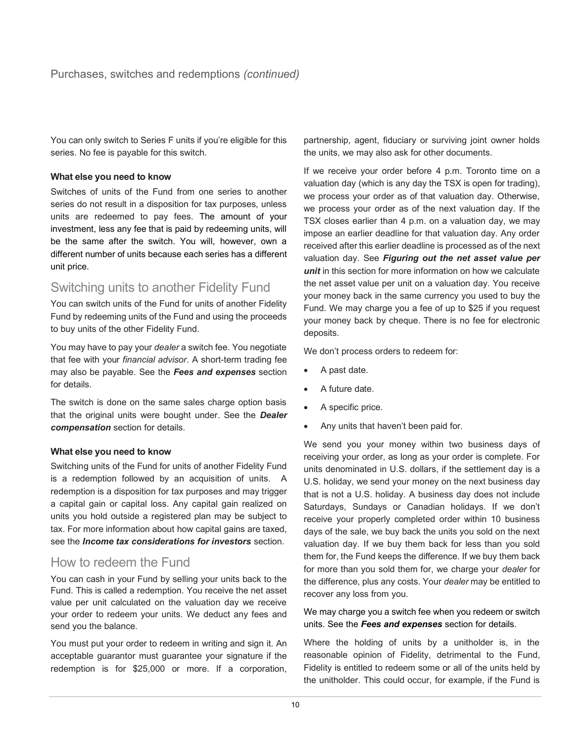You can only switch to Series F units if you're eligible for this series. No fee is payable for this switch.

#### **What else you need to know**

Switches of units of the Fund from one series to another series do not result in a disposition for tax purposes, unless units are redeemed to pay fees. The amount of your investment, less any fee that is paid by redeeming units, will be the same after the switch. You will, however, own a different number of units because each series has a different unit price.

## Switching units to another Fidelity Fund

You can switch units of the Fund for units of another Fidelity Fund by redeeming units of the Fund and using the proceeds to buy units of the other Fidelity Fund.

You may have to pay your *dealer* a switch fee. You negotiate that fee with your *financial advisor*. A short-term trading fee may also be payable. See the *Fees and expenses* section for details.

The switch is done on the same sales charge option basis that the original units were bought under. See the *Dealer compensation* section for details.

#### **What else you need to know**

Switching units of the Fund for units of another Fidelity Fund is a redemption followed by an acquisition of units. A redemption is a disposition for tax purposes and may trigger a capital gain or capital loss. Any capital gain realized on units you hold outside a registered plan may be subject to tax. For more information about how capital gains are taxed, see the *Income tax considerations for investors* section.

## How to redeem the Fund

You can cash in your Fund by selling your units back to the Fund. This is called a redemption. You receive the net asset value per unit calculated on the valuation day we receive your order to redeem your units. We deduct any fees and send you the balance.

You must put your order to redeem in writing and sign it. An acceptable guarantor must guarantee your signature if the redemption is for \$25,000 or more. If a corporation,

partnership, agent, fiduciary or surviving joint owner holds the units, we may also ask for other documents.

If we receive your order before 4 p.m. Toronto time on a valuation day (which is any day the TSX is open for trading), we process your order as of that valuation day. Otherwise, we process your order as of the next valuation day. If the TSX closes earlier than 4 p.m. on a valuation day, we may impose an earlier deadline for that valuation day. Any order received after this earlier deadline is processed as of the next valuation day. See *Figuring out the net asset value per unit* in this section for more information on how we calculate the net asset value per unit on a valuation day. You receive your money back in the same currency you used to buy the Fund. We may charge you a fee of up to \$25 if you request your money back by cheque. There is no fee for electronic deposits.

We don't process orders to redeem for:

- A past date.
- A future date.
- A specific price.
- Any units that haven't been paid for.

We send you your money within two business days of receiving your order, as long as your order is complete. For units denominated in U.S. dollars, if the settlement day is a U.S. holiday, we send your money on the next business day that is not a U.S. holiday. A business day does not include Saturdays, Sundays or Canadian holidays. If we don't receive your properly completed order within 10 business days of the sale, we buy back the units you sold on the next valuation day. If we buy them back for less than you sold them for, the Fund keeps the difference. If we buy them back for more than you sold them for, we charge your *dealer* for the difference, plus any costs. Your *dealer* may be entitled to recover any loss from you.

We may charge you a switch fee when you redeem or switch units. See the *Fees and expenses* section for details.

Where the holding of units by a unitholder is, in the reasonable opinion of Fidelity, detrimental to the Fund, Fidelity is entitled to redeem some or all of the units held by the unitholder. This could occur, for example, if the Fund is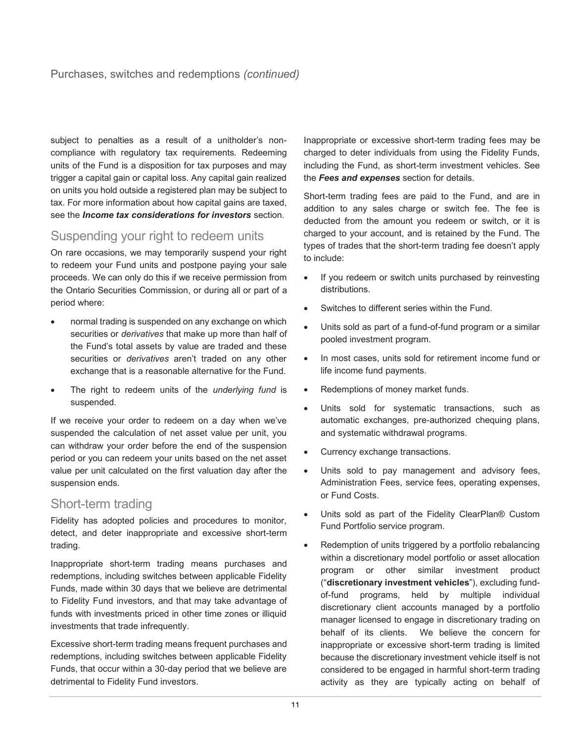subject to penalties as a result of a unitholder's noncompliance with regulatory tax requirements. Redeeming units of the Fund is a disposition for tax purposes and may trigger a capital gain or capital loss. Any capital gain realized on units you hold outside a registered plan may be subject to tax. For more information about how capital gains are taxed, see the *Income tax considerations for investors* section.

## Suspending your right to redeem units

On rare occasions, we may temporarily suspend your right to redeem your Fund units and postpone paying your sale proceeds. We can only do this if we receive permission from the Ontario Securities Commission, or during all or part of a period where:

- normal trading is suspended on any exchange on which securities or *derivatives* that make up more than half of the Fund's total assets by value are traded and these securities or *derivatives* aren't traded on any other exchange that is a reasonable alternative for the Fund.
- The right to redeem units of the *underlying fund* is suspended.

If we receive your order to redeem on a day when we've suspended the calculation of net asset value per unit, you can withdraw your order before the end of the suspension period or you can redeem your units based on the net asset value per unit calculated on the first valuation day after the suspension ends.

## Short-term trading

Fidelity has adopted policies and procedures to monitor, detect, and deter inappropriate and excessive short-term trading.

Inappropriate short-term trading means purchases and redemptions, including switches between applicable Fidelity Funds, made within 30 days that we believe are detrimental to Fidelity Fund investors, and that may take advantage of funds with investments priced in other time zones or illiquid investments that trade infrequently.

Excessive short-term trading means frequent purchases and redemptions, including switches between applicable Fidelity Funds, that occur within a 30-day period that we believe are detrimental to Fidelity Fund investors.

Inappropriate or excessive short-term trading fees may be charged to deter individuals from using the Fidelity Funds, including the Fund, as short-term investment vehicles. See the *Fees and expenses* section for details.

Short-term trading fees are paid to the Fund, and are in addition to any sales charge or switch fee. The fee is deducted from the amount you redeem or switch, or it is charged to your account, and is retained by the Fund. The types of trades that the short-term trading fee doesn't apply to include:

- If you redeem or switch units purchased by reinvesting distributions.
- Switches to different series within the Fund.
- Units sold as part of a fund-of-fund program or a similar pooled investment program.
- In most cases, units sold for retirement income fund or life income fund payments.
- Redemptions of money market funds.
- Units sold for systematic transactions, such as automatic exchanges, pre-authorized chequing plans, and systematic withdrawal programs.
- Currency exchange transactions.
- Units sold to pay management and advisory fees, Administration Fees, service fees, operating expenses, or Fund Costs.
- Units sold as part of the Fidelity ClearPlan® Custom Fund Portfolio service program.
- Redemption of units triggered by a portfolio rebalancing within a discretionary model portfolio or asset allocation program or other similar investment product ("**discretionary investment vehicles**"), excluding fundof-fund programs, held by multiple individual discretionary client accounts managed by a portfolio manager licensed to engage in discretionary trading on behalf of its clients. We believe the concern for inappropriate or excessive short-term trading is limited because the discretionary investment vehicle itself is not considered to be engaged in harmful short-term trading activity as they are typically acting on behalf of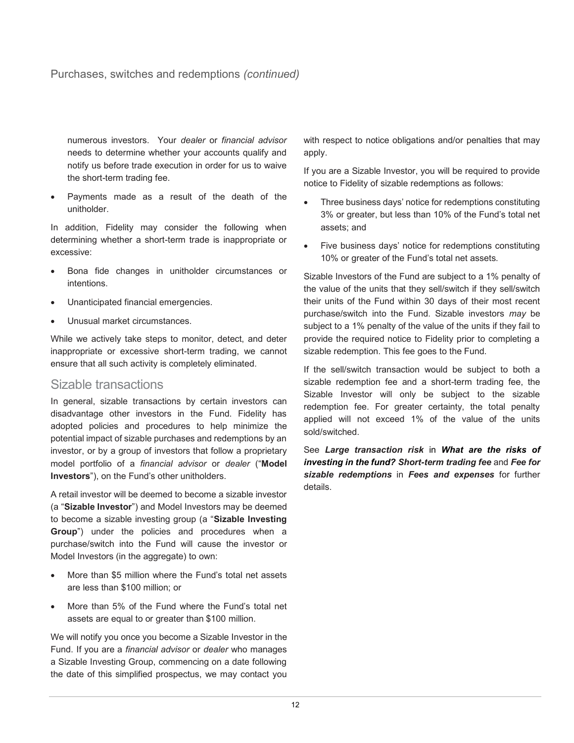## Purchases, switches and redemptions *(continued)*

numerous investors. Your *dealer* or *financial advisor* needs to determine whether your accounts qualify and notify us before trade execution in order for us to waive the short-term trading fee.

• Payments made as a result of the death of the unitholder.

In addition, Fidelity may consider the following when determining whether a short-term trade is inappropriate or excessive:

- Bona fide changes in unitholder circumstances or intentions.
- Unanticipated financial emergencies.
- Unusual market circumstances.

While we actively take steps to monitor, detect, and deter inappropriate or excessive short-term trading, we cannot ensure that all such activity is completely eliminated.

## Sizable transactions

In general, sizable transactions by certain investors can disadvantage other investors in the Fund. Fidelity has adopted policies and procedures to help minimize the potential impact of sizable purchases and redemptions by an investor, or by a group of investors that follow a proprietary model portfolio of a *financial advisor* or *dealer* ("**Model Investors**"), on the Fund's other unitholders.

A retail investor will be deemed to become a sizable investor (a "**Sizable Investor**") and Model Investors may be deemed to become a sizable investing group (a "**Sizable Investing Group**") under the policies and procedures when a purchase/switch into the Fund will cause the investor or Model Investors (in the aggregate) to own:

- More than \$5 million where the Fund's total net assets are less than \$100 million; or
- More than 5% of the Fund where the Fund's total net assets are equal to or greater than \$100 million.

We will notify you once you become a Sizable Investor in the Fund. If you are a *financial advisor* or *dealer* who manages a Sizable Investing Group, commencing on a date following the date of this simplified prospectus, we may contact you with respect to notice obligations and/or penalties that may apply.

If you are a Sizable Investor, you will be required to provide notice to Fidelity of sizable redemptions as follows:

- Three business days' notice for redemptions constituting 3% or greater, but less than 10% of the Fund's total net assets; and
- Five business days' notice for redemptions constituting 10% or greater of the Fund's total net assets.

Sizable Investors of the Fund are subject to a 1% penalty of the value of the units that they sell/switch if they sell/switch their units of the Fund within 30 days of their most recent purchase/switch into the Fund. Sizable investors *may* be subject to a 1% penalty of the value of the units if they fail to provide the required notice to Fidelity prior to completing a sizable redemption. This fee goes to the Fund.

If the sell/switch transaction would be subject to both a sizable redemption fee and a short-term trading fee, the Sizable Investor will only be subject to the sizable redemption fee. For greater certainty, the total penalty applied will not exceed 1% of the value of the units sold/switched.

See *Large transaction risk* in *What are the risks of investing in the fund? Short-term trading fee* and *Fee for sizable redemptions* in *Fees and expenses* for further details.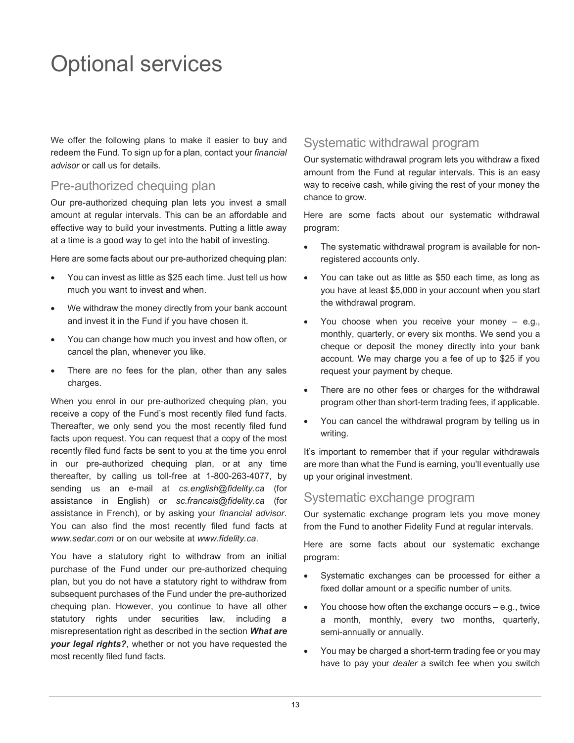## <span id="page-14-0"></span>Optional services

We offer the following plans to make it easier to buy and redeem the Fund. To sign up for a plan, contact your *financial advisor* or call us for details.

## Pre-authorized chequing plan

Our pre-authorized chequing plan lets you invest a small amount at regular intervals. This can be an affordable and effective way to build your investments. Putting a little away at a time is a good way to get into the habit of investing.

Here are some facts about our pre-authorized chequing plan:

- You can invest as little as \$25 each time. Just tell us how much you want to invest and when.
- We withdraw the money directly from your bank account and invest it in the Fund if you have chosen it.
- You can change how much you invest and how often, or cancel the plan, whenever you like.
- There are no fees for the plan, other than any sales charges.

When you enrol in our pre-authorized chequing plan, you receive a copy of the Fund's most recently filed fund facts. Thereafter, we only send you the most recently filed fund facts upon request. You can request that a copy of the most recently filed fund facts be sent to you at the time you enrol in our pre-authorized chequing plan, or at any time thereafter, by calling us toll-free at 1-800-263-4077, by sending us an e-mail at *cs.english@fidelity.ca* (for assistance in English) or *sc.francais@fidelity.ca* (for assistance in French), or by asking your *financial advisor*. You can also find the most recently filed fund facts at *www.sedar.com* or on our website at *www.fidelity.ca*.

You have a statutory right to withdraw from an initial purchase of the Fund under our pre-authorized chequing plan, but you do not have a statutory right to withdraw from subsequent purchases of the Fund under the pre-authorized chequing plan. However, you continue to have all other statutory rights under securities law, including a misrepresentation right as described in the section *What are your legal rights?*, whether or not you have requested the most recently filed fund facts.

## Systematic withdrawal program

Our systematic withdrawal program lets you withdraw a fixed amount from the Fund at regular intervals. This is an easy way to receive cash, while giving the rest of your money the chance to grow.

Here are some facts about our systematic withdrawal program:

- The systematic withdrawal program is available for nonregistered accounts only.
- You can take out as little as \$50 each time, as long as you have at least \$5,000 in your account when you start the withdrawal program.
- You choose when you receive your money  $-$  e.g., monthly, quarterly, or every six months. We send you a cheque or deposit the money directly into your bank account. We may charge you a fee of up to \$25 if you request your payment by cheque.
- There are no other fees or charges for the withdrawal program other than short-term trading fees, if applicable.
- You can cancel the withdrawal program by telling us in writing.

It's important to remember that if your regular withdrawals are more than what the Fund is earning, you'll eventually use up your original investment.

## Systematic exchange program

Our systematic exchange program lets you move money from the Fund to another Fidelity Fund at regular intervals.

Here are some facts about our systematic exchange program:

- Systematic exchanges can be processed for either a fixed dollar amount or a specific number of units.
- You choose how often the exchange occurs e.g., twice a month, monthly, every two months, quarterly, semi-annually or annually.
- You may be charged a short-term trading fee or you may have to pay your *dealer* a switch fee when you switch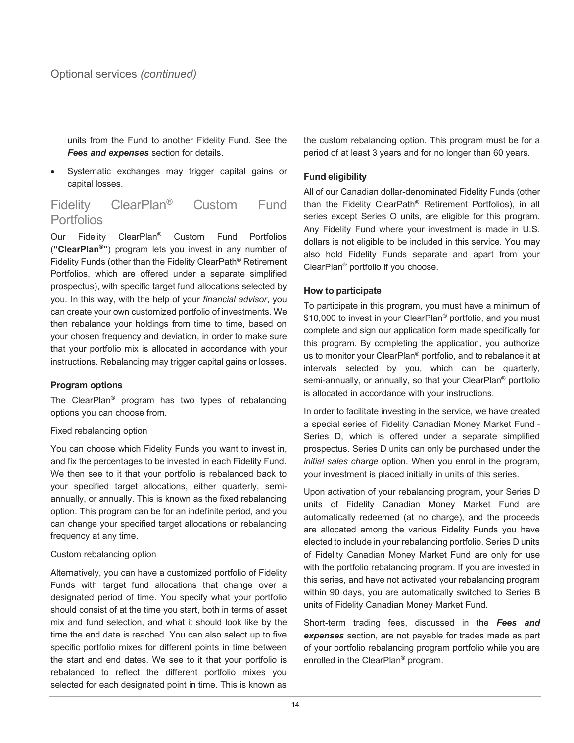units from the Fund to another Fidelity Fund. See the *Fees and expenses* section for details.

Systematic exchanges may trigger capital gains or capital losses.

## Fidelity ClearPlan® Custom Fund Portfolios

Our Fidelity ClearPlan® Custom Fund Portfolios (**"ClearPlan®"**) program lets you invest in any number of Fidelity Funds (other than the Fidelity ClearPath® Retirement Portfolios, which are offered under a separate simplified prospectus), with specific target fund allocations selected by you. In this way, with the help of your *financial advisor*, you can create your own customized portfolio of investments. We then rebalance your holdings from time to time, based on your chosen frequency and deviation, in order to make sure that your portfolio mix is allocated in accordance with your instructions. Rebalancing may trigger capital gains or losses.

#### **Program options**

The ClearPlan® program has two types of rebalancing options you can choose from.

#### Fixed rebalancing option

You can choose which Fidelity Funds you want to invest in, and fix the percentages to be invested in each Fidelity Fund. We then see to it that your portfolio is rebalanced back to your specified target allocations, either quarterly, semiannually, or annually. This is known as the fixed rebalancing option. This program can be for an indefinite period, and you can change your specified target allocations or rebalancing frequency at any time.

#### Custom rebalancing option

Alternatively, you can have a customized portfolio of Fidelity Funds with target fund allocations that change over a designated period of time. You specify what your portfolio should consist of at the time you start, both in terms of asset mix and fund selection, and what it should look like by the time the end date is reached. You can also select up to five specific portfolio mixes for different points in time between the start and end dates. We see to it that your portfolio is rebalanced to reflect the different portfolio mixes you selected for each designated point in time. This is known as

the custom rebalancing option. This program must be for a period of at least 3 years and for no longer than 60 years.

#### **Fund eligibility**

All of our Canadian dollar-denominated Fidelity Funds (other than the Fidelity ClearPath® Retirement Portfolios), in all series except Series O units, are eligible for this program. Any Fidelity Fund where your investment is made in U.S. dollars is not eligible to be included in this service. You may also hold Fidelity Funds separate and apart from your ClearPlan® portfolio if you choose.

#### **How to participate**

To participate in this program, you must have a minimum of \$10,000 to invest in your ClearPlan<sup>®</sup> portfolio, and you must complete and sign our application form made specifically for this program. By completing the application, you authorize us to monitor your ClearPlan® portfolio, and to rebalance it at intervals selected by you, which can be quarterly, semi-annually, or annually, so that your ClearPlan<sup>®</sup> portfolio is allocated in accordance with your instructions.

In order to facilitate investing in the service, we have created a special series of Fidelity Canadian Money Market Fund - Series D, which is offered under a separate simplified prospectus. Series D units can only be purchased under the *initial sales charge* option. When you enrol in the program, your investment is placed initially in units of this series.

Upon activation of your rebalancing program, your Series D units of Fidelity Canadian Money Market Fund are automatically redeemed (at no charge), and the proceeds are allocated among the various Fidelity Funds you have elected to include in your rebalancing portfolio. Series D units of Fidelity Canadian Money Market Fund are only for use with the portfolio rebalancing program. If you are invested in this series, and have not activated your rebalancing program within 90 days, you are automatically switched to Series B units of Fidelity Canadian Money Market Fund.

Short-term trading fees, discussed in the *Fees and expenses* section, are not payable for trades made as part of your portfolio rebalancing program portfolio while you are enrolled in the ClearPlan® program.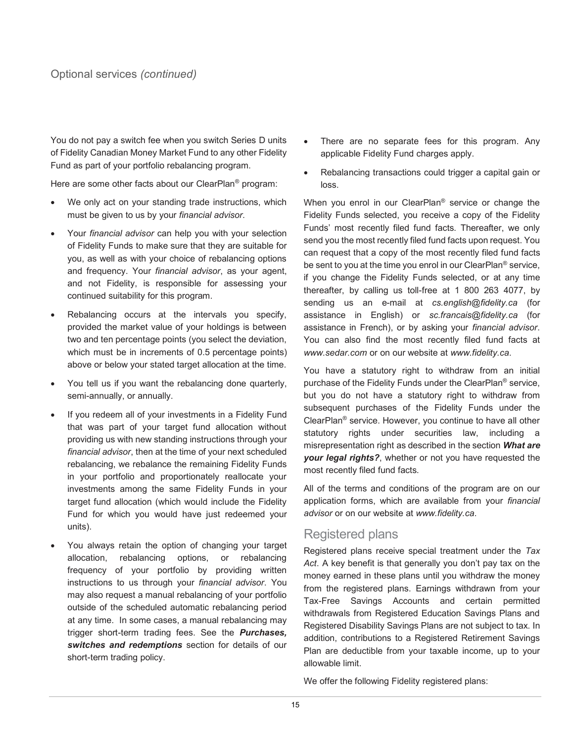You do not pay a switch fee when you switch Series D units of Fidelity Canadian Money Market Fund to any other Fidelity Fund as part of your portfolio rebalancing program.

Here are some other facts about our ClearPlan® program:

- We only act on your standing trade instructions, which must be given to us by your *financial advisor*.
- Your *financial advisor* can help you with your selection of Fidelity Funds to make sure that they are suitable for you, as well as with your choice of rebalancing options and frequency. Your *financial advisor*, as your agent, and not Fidelity, is responsible for assessing your continued suitability for this program.
- Rebalancing occurs at the intervals you specify, provided the market value of your holdings is between two and ten percentage points (you select the deviation, which must be in increments of 0.5 percentage points) above or below your stated target allocation at the time.
- You tell us if you want the rebalancing done quarterly, semi-annually, or annually.
- If you redeem all of your investments in a Fidelity Fund that was part of your target fund allocation without providing us with new standing instructions through your *financial advisor*, then at the time of your next scheduled rebalancing, we rebalance the remaining Fidelity Funds in your portfolio and proportionately reallocate your investments among the same Fidelity Funds in your target fund allocation (which would include the Fidelity Fund for which you would have just redeemed your units).
- You always retain the option of changing your target allocation, rebalancing options, or rebalancing frequency of your portfolio by providing written instructions to us through your *financial advisor*. You may also request a manual rebalancing of your portfolio outside of the scheduled automatic rebalancing period at any time. In some cases, a manual rebalancing may trigger short-term trading fees. See the *Purchases, switches and redemptions* section for details of our short-term trading policy.
- There are no separate fees for this program. Any applicable Fidelity Fund charges apply.
- Rebalancing transactions could trigger a capital gain or loss.

When you enrol in our ClearPlan<sup>®</sup> service or change the Fidelity Funds selected, you receive a copy of the Fidelity Funds' most recently filed fund facts. Thereafter, we only send you the most recently filed fund facts upon request. You can request that a copy of the most recently filed fund facts be sent to you at the time you enrol in our ClearPlan® service, if you change the Fidelity Funds selected, or at any time thereafter, by calling us toll-free at 1 800 263 4077, by sending us an e-mail at *cs.english@fidelity.ca* (for assistance in English) or *sc.francais@fidelity.ca* (for assistance in French), or by asking your *financial advisor*. You can also find the most recently filed fund facts at *www.sedar.com* or on our website at *www.fidelity.ca*.

You have a statutory right to withdraw from an initial purchase of the Fidelity Funds under the ClearPlan® service, but you do not have a statutory right to withdraw from subsequent purchases of the Fidelity Funds under the ClearPlan® service. However, you continue to have all other statutory rights under securities law, including a misrepresentation right as described in the section *What are your legal rights?*, whether or not you have requested the most recently filed fund facts.

All of the terms and conditions of the program are on our application forms, which are available from your *financial advisor* or on our website at *www.fidelity.ca*.

## Registered plans

Registered plans receive special treatment under the *Tax Act*. A key benefit is that generally you don't pay tax on the money earned in these plans until you withdraw the money from the registered plans. Earnings withdrawn from your Tax-Free Savings Accounts and certain permitted withdrawals from Registered Education Savings Plans and Registered Disability Savings Plans are not subject to tax. In addition, contributions to a Registered Retirement Savings Plan are deductible from your taxable income, up to your allowable limit.

We offer the following Fidelity registered plans: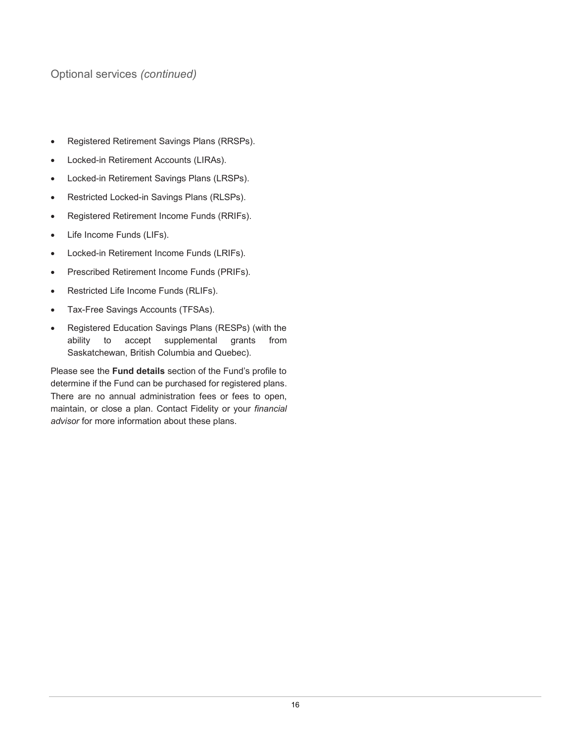## Optional services *(continued)*

- Registered Retirement Savings Plans (RRSPs).
- Locked-in Retirement Accounts (LIRAs).
- Locked-in Retirement Savings Plans (LRSPs).
- Restricted Locked-in Savings Plans (RLSPs).
- Registered Retirement Income Funds (RRIFs).
- Life Income Funds (LIFs).
- Locked-in Retirement Income Funds (LRIFs).
- Prescribed Retirement Income Funds (PRIFs).
- Restricted Life Income Funds (RLIFs).
- Tax-Free Savings Accounts (TFSAs).
- Registered Education Savings Plans (RESPs) (with the ability to accept supplemental grants from Saskatchewan, British Columbia and Quebec).

Please see the **Fund details** section of the Fund's profile to determine if the Fund can be purchased for registered plans. There are no annual administration fees or fees to open, maintain, or close a plan. Contact Fidelity or your *financial advisor* for more information about these plans.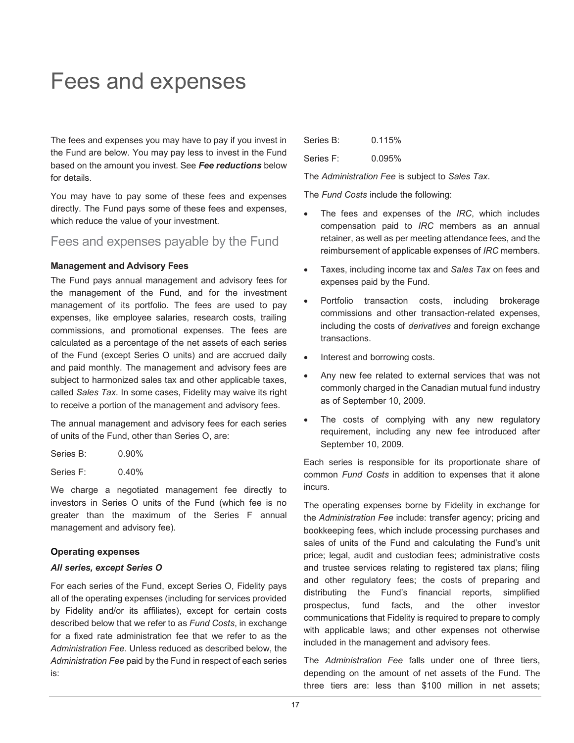## <span id="page-18-0"></span>Fees and expenses

The fees and expenses you may have to pay if you invest in the Fund are below. You may pay less to invest in the Fund based on the amount you invest. See *Fee reductions* below for details.

You may have to pay some of these fees and expenses directly. The Fund pays some of these fees and expenses, which reduce the value of your investment.

## Fees and expenses payable by the Fund

#### **Management and Advisory Fees**

The Fund pays annual management and advisory fees for the management of the Fund, and for the investment management of its portfolio. The fees are used to pay expenses, like employee salaries, research costs, trailing commissions, and promotional expenses. The fees are calculated as a percentage of the net assets of each series of the Fund (except Series O units) and are accrued daily and paid monthly. The management and advisory fees are subject to harmonized sales tax and other applicable taxes, called *Sales Tax*. In some cases, Fidelity may waive its right to receive a portion of the management and advisory fees.

The annual management and advisory fees for each series of units of the Fund, other than Series O, are:

| Series B: | $0.90\%$ |
|-----------|----------|
| Series F: | 0.40%    |

We charge a negotiated management fee directly to investors in Series O units of the Fund (which fee is no greater than the maximum of the Series F annual management and advisory fee).

#### **Operating expenses**

#### *All series, except Series O*

For each series of the Fund, except Series O, Fidelity pays all of the operating expenses (including for services provided by Fidelity and/or its affiliates), except for certain costs described below that we refer to as *Fund Costs*, in exchange for a fixed rate administration fee that we refer to as the *Administration Fee*. Unless reduced as described below, the *Administration Fee* paid by the Fund in respect of each series is:

| Series B: | 0.115% |
|-----------|--------|
| Series F: | 0.095% |

The *Administration Fee* is subject to *Sales Tax*.

The *Fund Costs* include the following:

- The fees and expenses of the *IRC*, which includes compensation paid to *IRC* members as an annual retainer, as well as per meeting attendance fees, and the reimbursement of applicable expenses of *IRC* members.
- Taxes, including income tax and *Sales Tax* on fees and expenses paid by the Fund.
- Portfolio transaction costs, including brokerage commissions and other transaction-related expenses, including the costs of *derivatives* and foreign exchange transactions.
- Interest and borrowing costs.
- Any new fee related to external services that was not commonly charged in the Canadian mutual fund industry as of September 10, 2009.
- The costs of complying with any new regulatory requirement, including any new fee introduced after September 10, 2009.

Each series is responsible for its proportionate share of common *Fund Costs* in addition to expenses that it alone incurs.

The operating expenses borne by Fidelity in exchange for the *Administration Fee* include: transfer agency; pricing and bookkeeping fees, which include processing purchases and sales of units of the Fund and calculating the Fund's unit price; legal, audit and custodian fees; administrative costs and trustee services relating to registered tax plans; filing and other regulatory fees; the costs of preparing and distributing the Fund's financial reports, simplified prospectus, fund facts, and the other investor communications that Fidelity is required to prepare to comply with applicable laws; and other expenses not otherwise included in the management and advisory fees.

The *Administration Fee* falls under one of three tiers, depending on the amount of net assets of the Fund. The three tiers are: less than \$100 million in net assets;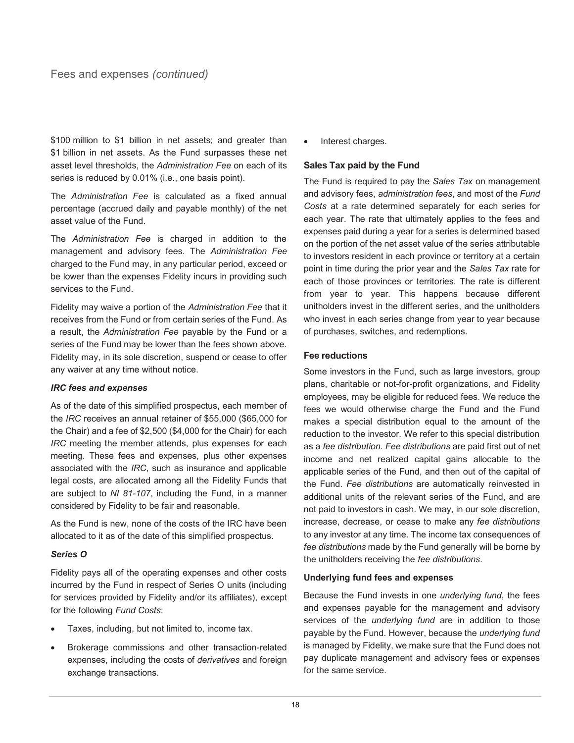\$100 million to \$1 billion in net assets; and greater than \$1 billion in net assets. As the Fund surpasses these net asset level thresholds, the *Administration Fee* on each of its series is reduced by 0.01% (i.e., one basis point).

The *Administration Fee* is calculated as a fixed annual percentage (accrued daily and payable monthly) of the net asset value of the Fund.

The *Administration Fee* is charged in addition to the management and advisory fees. The *Administration Fee* charged to the Fund may, in any particular period, exceed or be lower than the expenses Fidelity incurs in providing such services to the Fund.

Fidelity may waive a portion of the *Administration Fee* that it receives from the Fund or from certain series of the Fund. As a result, the *Administration Fee* payable by the Fund or a series of the Fund may be lower than the fees shown above. Fidelity may, in its sole discretion, suspend or cease to offer any waiver at any time without notice.

#### *IRC fees and expenses*

As of the date of this simplified prospectus, each member of the *IRC* receives an annual retainer of \$55,000 (\$65,000 for the Chair) and a fee of \$2,500 (\$4,000 for the Chair) for each *IRC* meeting the member attends, plus expenses for each meeting. These fees and expenses, plus other expenses associated with the *IRC*, such as insurance and applicable legal costs, are allocated among all the Fidelity Funds that are subject to *NI 81-107*, including the Fund, in a manner considered by Fidelity to be fair and reasonable.

As the Fund is new, none of the costs of the IRC have been allocated to it as of the date of this simplified prospectus.

#### *Series O*

Fidelity pays all of the operating expenses and other costs incurred by the Fund in respect of Series O units (including for services provided by Fidelity and/or its affiliates), except for the following *Fund Costs*:

- Taxes, including, but not limited to, income tax.
- Brokerage commissions and other transaction-related expenses, including the costs of *derivatives* and foreign exchange transactions.

Interest charges.

#### **Sales Tax paid by the Fund**

The Fund is required to pay the *Sales Tax* on management and advisory fees, *administration fees*, and most of the *Fund Costs* at a rate determined separately for each series for each year. The rate that ultimately applies to the fees and expenses paid during a year for a series is determined based on the portion of the net asset value of the series attributable to investors resident in each province or territory at a certain point in time during the prior year and the *Sales Tax* rate for each of those provinces or territories. The rate is different from year to year. This happens because different unitholders invest in the different series, and the unitholders who invest in each series change from year to year because of purchases, switches, and redemptions.

#### **Fee reductions**

Some investors in the Fund, such as large investors, group plans, charitable or not-for-profit organizations, and Fidelity employees, may be eligible for reduced fees. We reduce the fees we would otherwise charge the Fund and the Fund makes a special distribution equal to the amount of the reduction to the investor. We refer to this special distribution as a *fee distribution*. *Fee distributions* are paid first out of net income and net realized capital gains allocable to the applicable series of the Fund, and then out of the capital of the Fund. *Fee distributions* are automatically reinvested in additional units of the relevant series of the Fund, and are not paid to investors in cash. We may, in our sole discretion, increase, decrease, or cease to make any *fee distributions* to any investor at any time. The income tax consequences of *fee distributions* made by the Fund generally will be borne by the unitholders receiving the *fee distributions*.

#### **Underlying fund fees and expenses**

Because the Fund invests in one *underlying fund*, the fees and expenses payable for the management and advisory services of the *underlying fund* are in addition to those payable by the Fund. However, because the *underlying fund*  is managed by Fidelity, we make sure that the Fund does not pay duplicate management and advisory fees or expenses for the same service.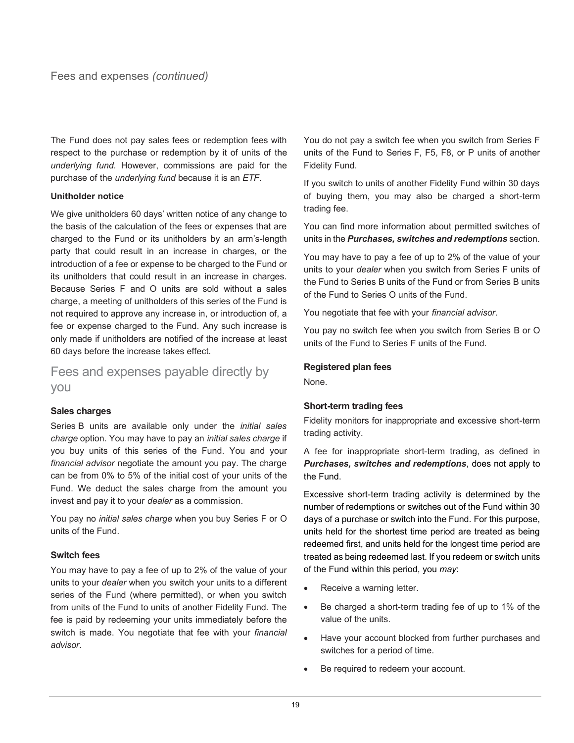The Fund does not pay sales fees or redemption fees with respect to the purchase or redemption by it of units of the *underlying fund*. However, commissions are paid for the purchase of the *underlying fund* because it is an *ETF*.

#### **Unitholder notice**

We give unitholders 60 days' written notice of any change to the basis of the calculation of the fees or expenses that are charged to the Fund or its unitholders by an arm's-length party that could result in an increase in charges, or the introduction of a fee or expense to be charged to the Fund or its unitholders that could result in an increase in charges. Because Series F and O units are sold without a sales charge, a meeting of unitholders of this series of the Fund is not required to approve any increase in, or introduction of, a fee or expense charged to the Fund. Any such increase is only made if unitholders are notified of the increase at least 60 days before the increase takes effect.

Fees and expenses payable directly by you

## **Sales charges**

Series B units are available only under the *initial sales charge* option. You may have to pay an *initial sales charge* if you buy units of this series of the Fund. You and your *financial advisor* negotiate the amount you pay. The charge can be from 0% to 5% of the initial cost of your units of the Fund. We deduct the sales charge from the amount you invest and pay it to your *dealer* as a commission.

You pay no *initial sales charge* when you buy Series F or O units of the Fund.

## **Switch fees**

You may have to pay a fee of up to 2% of the value of your units to your *dealer* when you switch your units to a different series of the Fund (where permitted), or when you switch from units of the Fund to units of another Fidelity Fund. The fee is paid by redeeming your units immediately before the switch is made. You negotiate that fee with your *financial advisor*.

You do not pay a switch fee when you switch from Series F units of the Fund to Series F, F5, F8, or P units of another Fidelity Fund.

If you switch to units of another Fidelity Fund within 30 days of buying them, you may also be charged a short-term trading fee.

You can find more information about permitted switches of units in the *Purchases, switches and redemptions* section.

You may have to pay a fee of up to 2% of the value of your units to your *dealer* when you switch from Series F units of the Fund to Series B units of the Fund or from Series B units of the Fund to Series O units of the Fund.

You negotiate that fee with your *financial advisor*.

You pay no switch fee when you switch from Series B or O units of the Fund to Series F units of the Fund.

## **Registered plan fees**

None.

## **Short-term trading fees**

Fidelity monitors for inappropriate and excessive short-term trading activity.

A fee for inappropriate short-term trading, as defined in *Purchases, switches and redemptions*, does not apply to the Fund.

Excessive short-term trading activity is determined by the number of redemptions or switches out of the Fund within 30 days of a purchase or switch into the Fund. For this purpose, units held for the shortest time period are treated as being redeemed first, and units held for the longest time period are treated as being redeemed last. If you redeem or switch units of the Fund within this period, you *may*:

- Receive a warning letter.
- Be charged a short-term trading fee of up to 1% of the value of the units.
- Have your account blocked from further purchases and switches for a period of time.
- Be required to redeem your account.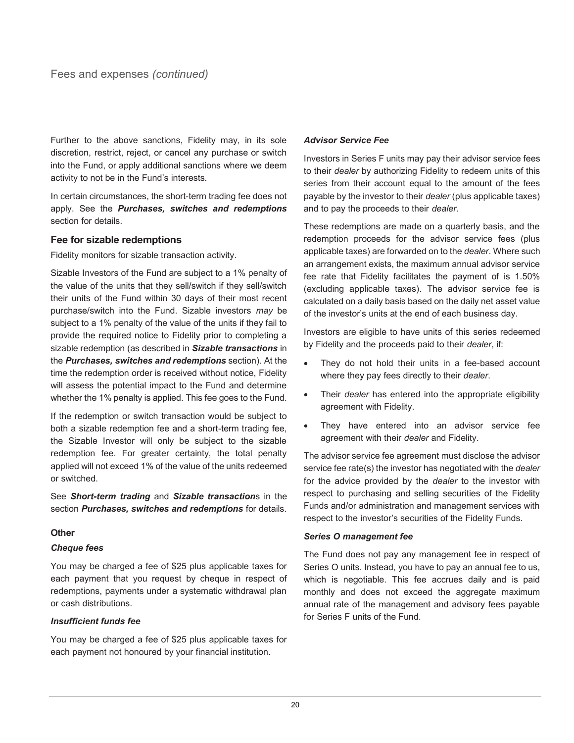Further to the above sanctions, Fidelity may, in its sole discretion, restrict, reject, or cancel any purchase or switch into the Fund, or apply additional sanctions where we deem activity to not be in the Fund's interests.

In certain circumstances, the short-term trading fee does not apply. See the *Purchases, switches and redemptions* section for details.

#### **Fee for sizable redemptions**

Fidelity monitors for sizable transaction activity.

Sizable Investors of the Fund are subject to a 1% penalty of the value of the units that they sell/switch if they sell/switch their units of the Fund within 30 days of their most recent purchase/switch into the Fund. Sizable investors *may* be subject to a 1% penalty of the value of the units if they fail to provide the required notice to Fidelity prior to completing a sizable redemption (as described in *Sizable transactions* in the *Purchases, switches and redemptions* section). At the time the redemption order is received without notice, Fidelity will assess the potential impact to the Fund and determine whether the 1% penalty is applied. This fee goes to the Fund.

If the redemption or switch transaction would be subject to both a sizable redemption fee and a short-term trading fee, the Sizable Investor will only be subject to the sizable redemption fee. For greater certainty, the total penalty applied will not exceed 1% of the value of the units redeemed or switched.

See *Short-term trading* and *Sizable transaction*s in the section *Purchases, switches and redemptions* for details.

#### **Other**

#### *Cheque fees*

You may be charged a fee of \$25 plus applicable taxes for each payment that you request by cheque in respect of redemptions, payments under a systematic withdrawal plan or cash distributions.

#### *Insufficient funds fee*

You may be charged a fee of \$25 plus applicable taxes for each payment not honoured by your financial institution.

#### *Advisor Service Fee*

Investors in Series F units may pay their advisor service fees to their *dealer* by authorizing Fidelity to redeem units of this series from their account equal to the amount of the fees payable by the investor to their *dealer* (plus applicable taxes) and to pay the proceeds to their *dealer*.

These redemptions are made on a quarterly basis, and the redemption proceeds for the advisor service fees (plus applicable taxes) are forwarded on to the *dealer*. Where such an arrangement exists, the maximum annual advisor service fee rate that Fidelity facilitates the payment of is 1.50% (excluding applicable taxes). The advisor service fee is calculated on a daily basis based on the daily net asset value of the investor's units at the end of each business day.

Investors are eligible to have units of this series redeemed by Fidelity and the proceeds paid to their *dealer*, if:

- They do not hold their units in a fee-based account where they pay fees directly to their *dealer*.
- Their *dealer* has entered into the appropriate eligibility agreement with Fidelity.
- They have entered into an advisor service fee agreement with their *dealer* and Fidelity.

The advisor service fee agreement must disclose the advisor service fee rate(s) the investor has negotiated with the *dealer* for the advice provided by the *dealer* to the investor with respect to purchasing and selling securities of the Fidelity Funds and/or administration and management services with respect to the investor's securities of the Fidelity Funds.

#### *Series O management fee*

The Fund does not pay any management fee in respect of Series O units. Instead, you have to pay an annual fee to us, which is negotiable. This fee accrues daily and is paid monthly and does not exceed the aggregate maximum annual rate of the management and advisory fees payable for Series F units of the Fund.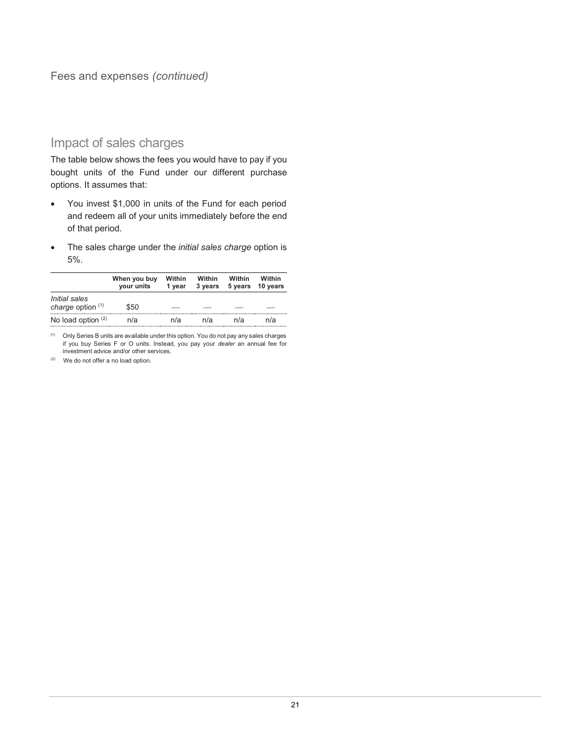Fees and expenses *(continued)*

## Impact of sales charges

The table below shows the fees you would have to pay if you bought units of the Fund under our different purchase options. It assumes that:

- You invest \$1,000 in units of the Fund for each period and redeem all of your units immediately before the end of that period.
- The sales charge under the *initial sales charge* option is 5%.

|                                      | When you buy<br>your units | Within<br>1 vear | <b>Within</b><br>3 years | Within<br>5 years | Within<br>10 years |
|--------------------------------------|----------------------------|------------------|--------------------------|-------------------|--------------------|
| Initial sales<br>charge option $(1)$ | \$50                       |                  |                          |                   |                    |
| No load option $(2)$                 | n/a                        | n/a              | n/a                      | n/a               | n/a                |

(1) Only Series B units are available under this option. You do not pay any sales charges if you buy Series F or O units. Instead, you pay your *dealer* an annual fee for investment advice and/or other services.

(2) We do not offer a no load option.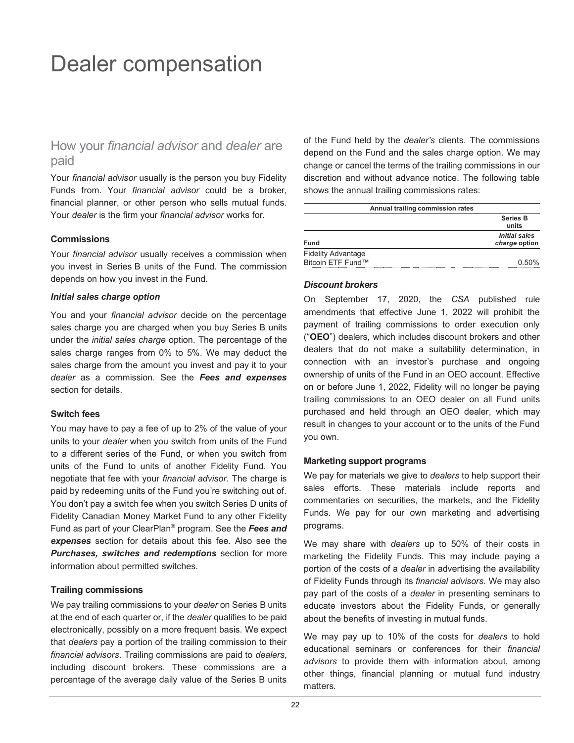## <span id="page-23-0"></span>Dealer compensation

## How your *financial advisor* and *dealer* are paid

Your *financial advisor* usually is the person you buy Fidelity Funds from. Your *financial advisor* could be a broker, financial planner, or other person who sells mutual funds. Your *dealer* is the firm your *financial advisor* works for.

#### **Commissions**

Your *financial advisor* usually receives a commission when you invest in Series B units of the Fund. The commission depends on how you invest in the Fund.

#### *Initial sales charge option*

You and your *financial advisor* decide on the percentage sales charge you are charged when you buy Series B units under the *initial sales charge* option. The percentage of the sales charge ranges from 0% to 5%. We may deduct the sales charge from the amount you invest and pay it to your *dealer* as a commission. See the *Fees and expenses* section for details.

#### **Switch fees**

You may have to pay a fee of up to 2% of the value of your units to your *dealer* when you switch from units of the Fund to a different series of the Fund, or when you switch from units of the Fund to units of another Fidelity Fund. You negotiate that fee with your *financial advisor*. The charge is paid by redeeming units of the Fund you're switching out of. You don't pay a switch fee when you switch Series D units of Fidelity Canadian Money Market Fund to any other Fidelity Fund as part of your ClearPlan® program. See the *Fees and expenses* section for details about this fee. Also see the *Purchases, switches and redemptions* section for more information about permitted switches.

#### **Trailing commissions**

We pay trailing commissions to your *dealer* on Series B units at the end of each quarter or, if the *dealer* qualifies to be paid electronically, possibly on a more frequent basis. We expect that *dealers* pay a portion of the trailing commission to their *financial advisors*. Trailing commissions are paid to *dealers*, including discount brokers. These commissions are a percentage of the average daily value of the Series B units

of the Fund held by the *dealer's* clients. The commissions depend on the Fund and the sales charge option. We may change or cancel the terms of the trailing commissions in our discretion and without advance notice. The following table shows the annual trailing commissions rates:

| Annual trailing commission rates |                                       |  |  |  |
|----------------------------------|---------------------------------------|--|--|--|
|                                  | <b>Series B</b><br>units              |  |  |  |
| <b>Fund</b>                      | <b>Initial sales</b><br>charge option |  |  |  |
| <b>Fidelity Advantage</b>        |                                       |  |  |  |
| Bitcoin ETF Fund™                | 0.50%                                 |  |  |  |

#### *Discount brokers*

On September 17, 2020, the *CSA* published rule amendments that effective June 1, 2022 will prohibit the payment of trailing commissions to order execution only ("**OEO**") dealers, which includes discount brokers and other dealers that do not make a suitability determination, in connection with an investor's purchase and ongoing ownership of units of the Fund in an OEO account. Effective on or before June 1, 2022, Fidelity will no longer be paying trailing commissions to an OEO dealer on all Fund units purchased and held through an OEO dealer, which may result in changes to your account or to the units of the Fund you own.

#### **Marketing support programs**

We pay for materials we give to *dealers* to help support their sales efforts. These materials include reports and commentaries on securities, the markets, and the Fidelity Funds. We pay for our own marketing and advertising programs.

We may share with *dealers* up to 50% of their costs in marketing the Fidelity Funds. This may include paying a portion of the costs of a *dealer* in advertising the availability of Fidelity Funds through its *financial advisors*. We may also pay part of the costs of a *dealer* in presenting seminars to educate investors about the Fidelity Funds, or generally about the benefits of investing in mutual funds.

We may pay up to 10% of the costs for *dealers* to hold educational seminars or conferences for their *financial advisors* to provide them with information about, among other things, financial planning or mutual fund industry matters.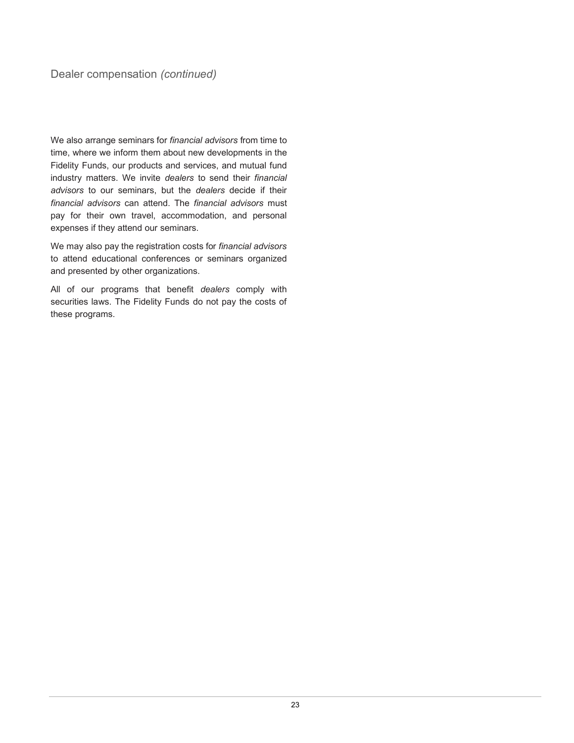We also arrange seminars for *financial advisors* from time to time, where we inform them about new developments in the Fidelity Funds, our products and services, and mutual fund industry matters. We invite *dealers* to send their *financial advisors* to our seminars, but the *dealers* decide if their *financial advisors* can attend. The *financial advisors* must pay for their own travel, accommodation, and personal expenses if they attend our seminars.

We may also pay the registration costs for *financial advisors* to attend educational conferences or seminars organized and presented by other organizations.

All of our programs that benefit *dealers* comply with securities laws. The Fidelity Funds do not pay the costs of these programs.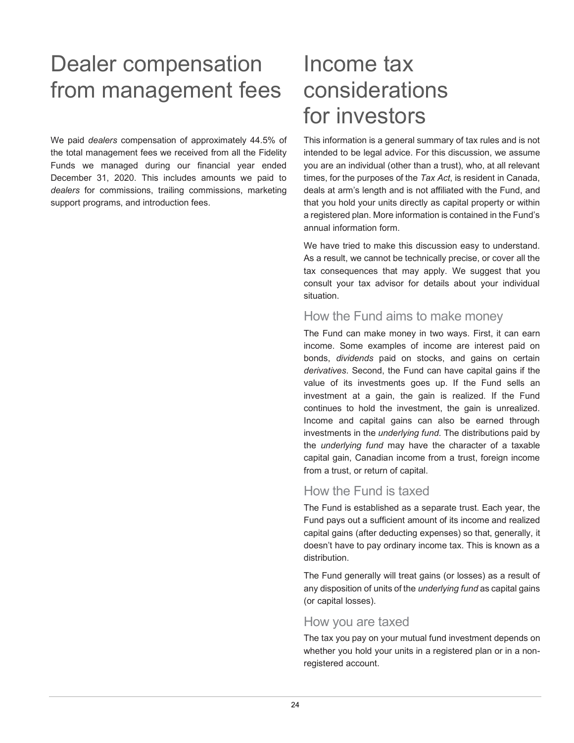## <span id="page-25-0"></span>Dealer compensation from management fees

We paid *dealers* compensation of approximately 44.5% of the total management fees we received from all the Fidelity Funds we managed during our financial year ended December 31, 2020. This includes amounts we paid to *dealers* for commissions, trailing commissions, marketing support programs, and introduction fees.

## Income tax considerations for investors

This information is a general summary of tax rules and is not intended to be legal advice. For this discussion, we assume you are an individual (other than a trust), who, at all relevant times, for the purposes of the *Tax Act*, is resident in Canada, deals at arm's length and is not affiliated with the Fund, and that you hold your units directly as capital property or within a registered plan. More information is contained in the Fund's annual information form.

We have tried to make this discussion easy to understand. As a result, we cannot be technically precise, or cover all the tax consequences that may apply. We suggest that you consult your tax advisor for details about your individual situation.

## How the Fund aims to make money

The Fund can make money in two ways. First, it can earn income. Some examples of income are interest paid on bonds, *dividends* paid on stocks, and gains on certain *derivatives*. Second, the Fund can have capital gains if the value of its investments goes up. If the Fund sells an investment at a gain, the gain is realized. If the Fund continues to hold the investment, the gain is unrealized. Income and capital gains can also be earned through investments in the *underlying fund*. The distributions paid by the *underlying fund* may have the character of a taxable capital gain, Canadian income from a trust, foreign income from a trust, or return of capital.

## How the Fund is taxed

The Fund is established as a separate trust. Each year, the Fund pays out a sufficient amount of its income and realized capital gains (after deducting expenses) so that, generally, it doesn't have to pay ordinary income tax. This is known as a distribution.

The Fund generally will treat gains (or losses) as a result of any disposition of units of the *underlying fund* as capital gains (or capital losses).

## How you are taxed

The tax you pay on your mutual fund investment depends on whether you hold your units in a registered plan or in a nonregistered account.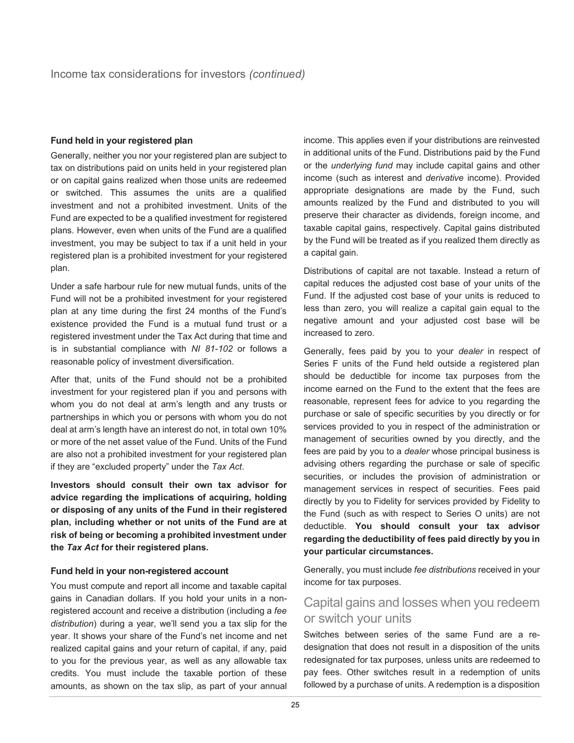#### **Fund held in your registered plan**

Generally, neither you nor your registered plan are subject to tax on distributions paid on units held in your registered plan or on capital gains realized when those units are redeemed or switched. This assumes the units are a qualified investment and not a prohibited investment. Units of the Fund are expected to be a qualified investment for registered plans. However, even when units of the Fund are a qualified investment, you may be subject to tax if a unit held in your registered plan is a prohibited investment for your registered plan.

Under a safe harbour rule for new mutual funds, units of the Fund will not be a prohibited investment for your registered plan at any time during the first 24 months of the Fund's existence provided the Fund is a mutual fund trust or a registered investment under the Tax Act during that time and is in substantial compliance with *NI 81-102* or follows a reasonable policy of investment diversification.

After that, units of the Fund should not be a prohibited investment for your registered plan if you and persons with whom you do not deal at arm's length and any trusts or partnerships in which you or persons with whom you do not deal at arm's length have an interest do not, in total own 10% or more of the net asset value of the Fund. Units of the Fund are also not a prohibited investment for your registered plan if they are "excluded property" under the *Tax Act*.

**Investors should consult their own tax advisor for advice regarding the implications of acquiring, holding or disposing of any units of the Fund in their registered plan, including whether or not units of the Fund are at risk of being or becoming a prohibited investment under the** *Tax Act* **for their registered plans.**

#### **Fund held in your non-registered account**

You must compute and report all income and taxable capital gains in Canadian dollars. If you hold your units in a nonregistered account and receive a distribution (including a *fee distribution*) during a year, we'll send you a tax slip for the year. It shows your share of the Fund's net income and net realized capital gains and your return of capital, if any, paid to you for the previous year, as well as any allowable tax credits. You must include the taxable portion of these amounts, as shown on the tax slip, as part of your annual

income. This applies even if your distributions are reinvested in additional units of the Fund. Distributions paid by the Fund or the *underlying fund* may include capital gains and other income (such as interest and *derivative* income). Provided appropriate designations are made by the Fund, such amounts realized by the Fund and distributed to you will preserve their character as dividends, foreign income, and taxable capital gains, respectively. Capital gains distributed by the Fund will be treated as if you realized them directly as a capital gain.

Distributions of capital are not taxable. Instead a return of capital reduces the adjusted cost base of your units of the Fund. If the adjusted cost base of your units is reduced to less than zero, you will realize a capital gain equal to the negative amount and your adjusted cost base will be increased to zero.

Generally, fees paid by you to your *dealer* in respect of Series F units of the Fund held outside a registered plan should be deductible for income tax purposes from the income earned on the Fund to the extent that the fees are reasonable, represent fees for advice to you regarding the purchase or sale of specific securities by you directly or for services provided to you in respect of the administration or management of securities owned by you directly, and the fees are paid by you to a *dealer* whose principal business is advising others regarding the purchase or sale of specific securities, or includes the provision of administration or management services in respect of securities. Fees paid directly by you to Fidelity for services provided by Fidelity to the Fund (such as with respect to Series O units) are not deductible. **You should consult your tax advisor regarding the deductibility of fees paid directly by you in your particular circumstances.**

Generally, you must include *fee distributions* received in your income for tax purposes.

## Capital gains and losses when you redeem or switch your units

Switches between series of the same Fund are a redesignation that does not result in a disposition of the units redesignated for tax purposes, unless units are redeemed to pay fees. Other switches result in a redemption of units followed by a purchase of units. A redemption is a disposition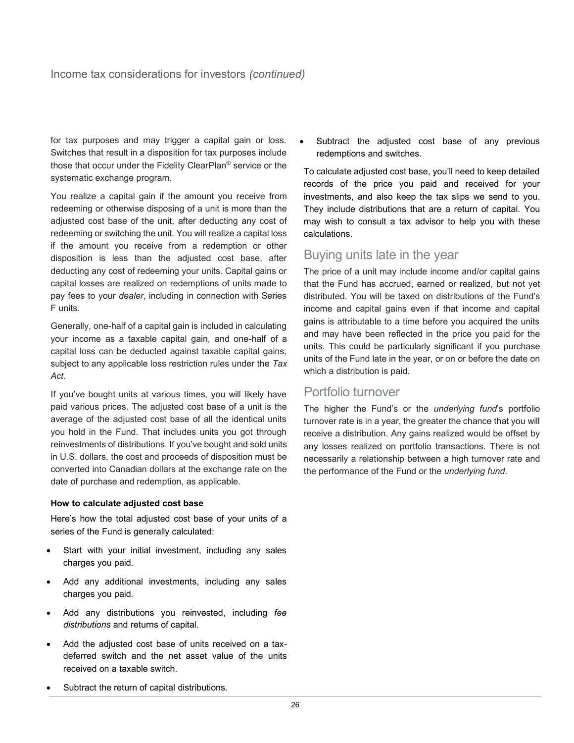for tax purposes and may trigger a capital gain or loss. Switches that result in a disposition for tax purposes include those that occur under the Fidelity ClearPlan® service or the systematic exchange program.

You realize a capital gain if the amount you receive from redeeming or otherwise disposing of a unit is more than the adjusted cost base of the unit, after deducting any cost of redeeming or switching the unit. You will realize a capital loss if the amount you receive from a redemption or other disposition is less than the adjusted cost base, after deducting any cost of redeeming your units. Capital gains or capital losses are realized on redemptions of units made to pay fees to your *dealer*, including in connection with Series F units.

Generally, one-half of a capital gain is included in calculating your income as a taxable capital gain, and one-half of a capital loss can be deducted against taxable capital gains, subject to any applicable loss restriction rules under the *Tax Act*.

If you've bought units at various times, you will likely have paid various prices. The adjusted cost base of a unit is the average of the adjusted cost base of all the identical units you hold in the Fund. That includes units you got through reinvestments of distributions. If you've bought and sold units in U.S. dollars, the cost and proceeds of disposition must be converted into Canadian dollars at the exchange rate on the date of purchase and redemption, as applicable.

#### **How to calculate adjusted cost base**

Here's how the total adjusted cost base of your units of a series of the Fund is generally calculated:

- Start with your initial investment, including any sales charges you paid.
- Add any additional investments, including any sales charges you paid.
- Add any distributions you reinvested, including *fee distributions* and returns of capital.
- Add the adjusted cost base of units received on a taxdeferred switch and the net asset value of the units received on a taxable switch.

Subtract the adjusted cost base of any previous redemptions and switches.

To calculate adjusted cost base, you'll need to keep detailed records of the price you paid and received for your investments, and also keep the tax slips we send to you. They include distributions that are a return of capital. You may wish to consult a tax advisor to help you with these calculations.

## Buying units late in the year

The price of a unit may include income and/or capital gains that the Fund has accrued, earned or realized, but not yet distributed. You will be taxed on distributions of the Fund's income and capital gains even if that income and capital gains is attributable to a time before you acquired the units and may have been reflected in the price you paid for the units. This could be particularly significant if you purchase units of the Fund late in the year, or on or before the date on which a distribution is paid.

## Portfolio turnover

The higher the Fund's or the *underlying fund*'s portfolio turnover rate is in a year, the greater the chance that you will receive a distribution. Any gains realized would be offset by any losses realized on portfolio transactions. There is not necessarily a relationship between a high turnover rate and the performance of the Fund or the *underlying fund*.

Subtract the return of capital distributions.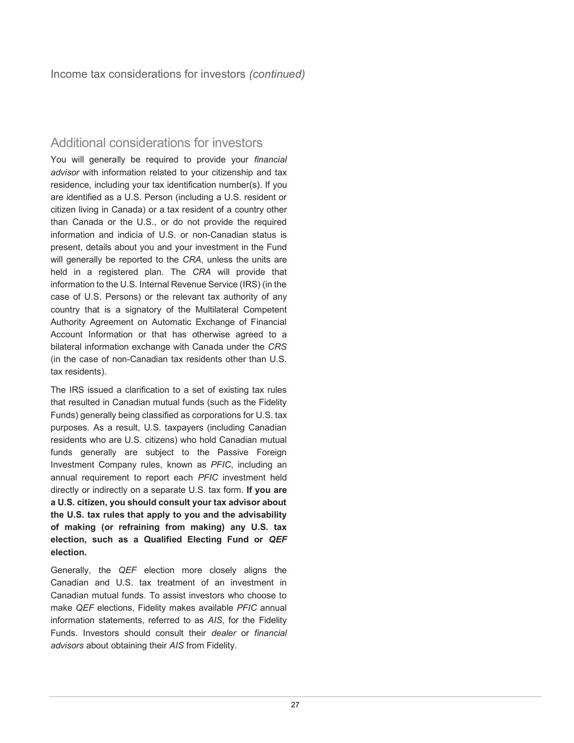## Additional considerations for investors

You will generally be required to provide your *financial advisor* with information related to your citizenship and tax residence, including your tax identification number(s). If you are identified as a U.S. Person (including a U.S. resident or citizen living in Canada) or a tax resident of a country other than Canada or the U.S., or do not provide the required information and indicia of U.S. or non-Canadian status is present, details about you and your investment in the Fund will generally be reported to the *CRA*, unless the units are held in a registered plan. The *CRA* will provide that information to the U.S. Internal Revenue Service (IRS) (in the case of U.S. Persons) or the relevant tax authority of any country that is a signatory of the Multilateral Competent Authority Agreement on Automatic Exchange of Financial Account Information or that has otherwise agreed to a bilateral information exchange with Canada under the *CRS* (in the case of non-Canadian tax residents other than U.S. tax residents).

The IRS issued a clarification to a set of existing tax rules that resulted in Canadian mutual funds (such as the Fidelity Funds) generally being classified as corporations for U.S. tax purposes. As a result, U.S. taxpayers (including Canadian residents who are U.S. citizens) who hold Canadian mutual funds generally are subject to the Passive Foreign Investment Company rules, known as *PFIC*, including an annual requirement to report each *PFIC* investment held directly or indirectly on a separate U.S. tax form. **If you are a U.S. citizen, you should consult your tax advisor about the U.S. tax rules that apply to you and the advisability of making (or refraining from making) any U.S. tax election, such as a Qualified Electing Fund or** *QEF* **election.**

Generally, the *QEF* election more closely aligns the Canadian and U.S. tax treatment of an investment in Canadian mutual funds. To assist investors who choose to make *QEF* elections, Fidelity makes available *PFIC* annual information statements, referred to as *AIS*, for the Fidelity Funds. Investors should consult their *dealer* or *financial advisors* about obtaining their *AIS* from Fidelity.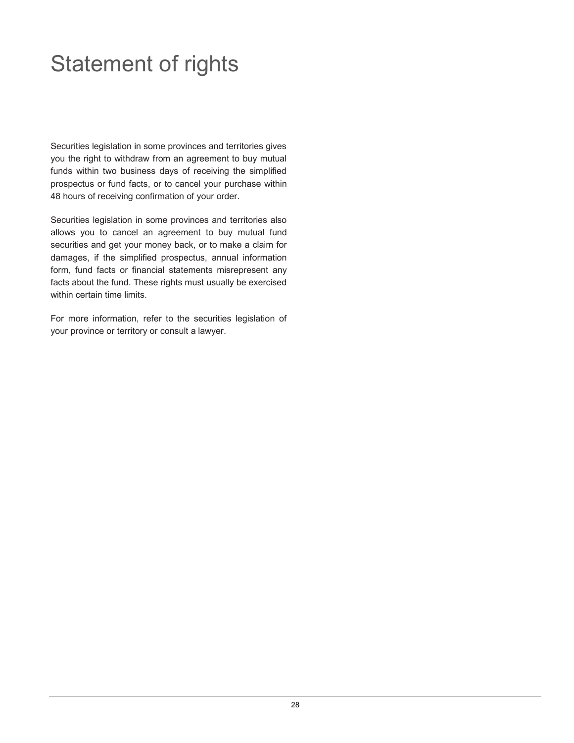## <span id="page-29-0"></span>Statement of rights

Securities legislation in some provinces and territories gives you the right to withdraw from an agreement to buy mutual funds within two business days of receiving the simplified prospectus or fund facts, or to cancel your purchase within 48 hours of receiving confirmation of your order.

Securities legislation in some provinces and territories also allows you to cancel an agreement to buy mutual fund securities and get your money back, or to make a claim for damages, if the simplified prospectus, annual information form, fund facts or financial statements misrepresent any facts about the fund. These rights must usually be exercised within certain time limits.

For more information, refer to the securities legislation of your province or territory or consult a lawyer.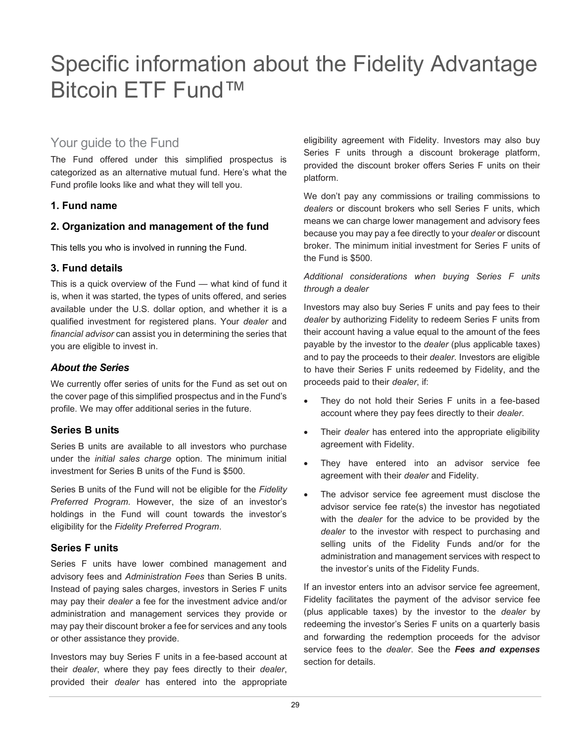## <span id="page-30-0"></span>Specific information about the Fidelity Advantage Bitcoin ETF Fund™

## Your guide to the Fund

The Fund offered under this simplified prospectus is categorized as an alternative mutual fund. Here's what the Fund profile looks like and what they will tell you.

## **1. Fund name**

## **2. Organization and management of the fund**

This tells you who is involved in running the Fund.

## **3. Fund details**

This is a quick overview of the Fund — what kind of fund it is, when it was started, the types of units offered, and series available under the U.S. dollar option, and whether it is a qualified investment for registered plans. Your *dealer* and *financial advisor* can assist you in determining the series that you are eligible to invest in.

#### *About the Series*

We currently offer series of units for the Fund as set out on the cover page of this simplified prospectus and in the Fund's profile. We may offer additional series in the future.

## **Series B units**

Series B units are available to all investors who purchase under the *initial sales charge* option. The minimum initial investment for Series B units of the Fund is \$500.

Series B units of the Fund will not be eligible for the *Fidelity Preferred Program*. However, the size of an investor's holdings in the Fund will count towards the investor's eligibility for the *Fidelity Preferred Program*.

## **Series F units**

Series F units have lower combined management and advisory fees and *Administration Fees* than Series B units. Instead of paying sales charges, investors in Series F units may pay their *dealer* a fee for the investment advice and/or administration and management services they provide or may pay their discount broker a fee for services and any tools or other assistance they provide.

Investors may buy Series F units in a fee-based account at their *dealer*, where they pay fees directly to their *dealer*, provided their *dealer* has entered into the appropriate

eligibility agreement with Fidelity. Investors may also buy Series F units through a discount brokerage platform, provided the discount broker offers Series F units on their platform.

We don't pay any commissions or trailing commissions to *dealers* or discount brokers who sell Series F units, which means we can charge lower management and advisory fees because you may pay a fee directly to your *dealer* or discount broker. The minimum initial investment for Series F units of the Fund is \$500.

#### *Additional considerations when buying Series F units through a dealer*

Investors may also buy Series F units and pay fees to their *dealer* by authorizing Fidelity to redeem Series F units from their account having a value equal to the amount of the fees payable by the investor to the *dealer* (plus applicable taxes) and to pay the proceeds to their *dealer*. Investors are eligible to have their Series F units redeemed by Fidelity, and the proceeds paid to their *dealer*, if:

- They do not hold their Series F units in a fee-based account where they pay fees directly to their *dealer*.
- Their *dealer* has entered into the appropriate eligibility agreement with Fidelity.
- They have entered into an advisor service fee agreement with their *dealer* and Fidelity.
- The advisor service fee agreement must disclose the advisor service fee rate(s) the investor has negotiated with the *dealer* for the advice to be provided by the *dealer* to the investor with respect to purchasing and selling units of the Fidelity Funds and/or for the administration and management services with respect to the investor's units of the Fidelity Funds.

If an investor enters into an advisor service fee agreement, Fidelity facilitates the payment of the advisor service fee (plus applicable taxes) by the investor to the *dealer* by redeeming the investor's Series F units on a quarterly basis and forwarding the redemption proceeds for the advisor service fees to the *dealer*. See the *Fees and expenses*  section for details.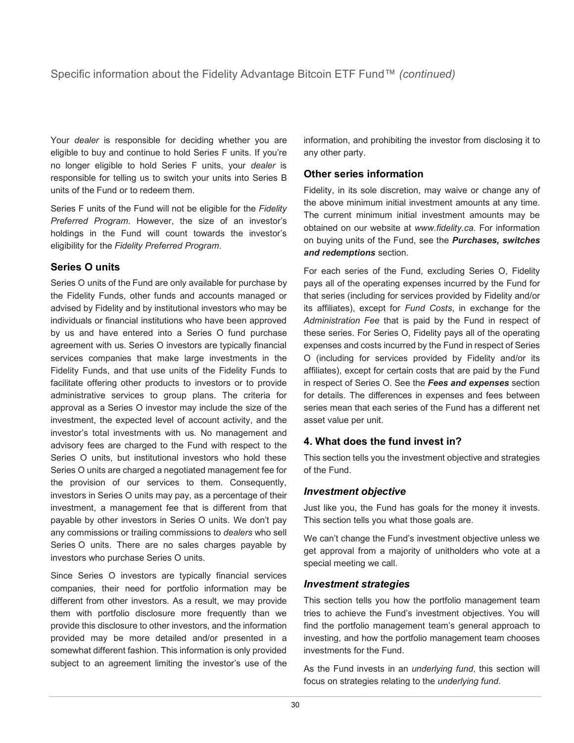Your *dealer* is responsible for deciding whether you are eligible to buy and continue to hold Series F units. If you're no longer eligible to hold Series F units, your *dealer* is responsible for telling us to switch your units into Series B units of the Fund or to redeem them.

Series F units of the Fund will not be eligible for the *Fidelity Preferred Program*. However, the size of an investor's holdings in the Fund will count towards the investor's eligibility for the *Fidelity Preferred Program*.

## **Series O units**

Series O units of the Fund are only available for purchase by the Fidelity Funds, other funds and accounts managed or advised by Fidelity and by institutional investors who may be individuals or financial institutions who have been approved by us and have entered into a Series O fund purchase agreement with us. Series O investors are typically financial services companies that make large investments in the Fidelity Funds, and that use units of the Fidelity Funds to facilitate offering other products to investors or to provide administrative services to group plans. The criteria for approval as a Series O investor may include the size of the investment, the expected level of account activity, and the investor's total investments with us. No management and advisory fees are charged to the Fund with respect to the Series O units, but institutional investors who hold these Series O units are charged a negotiated management fee for the provision of our services to them. Consequently, investors in Series O units may pay, as a percentage of their investment, a management fee that is different from that payable by other investors in Series O units. We don't pay any commissions or trailing commissions to *dealers* who sell Series O units. There are no sales charges payable by investors who purchase Series O units.

Since Series O investors are typically financial services companies, their need for portfolio information may be different from other investors. As a result, we may provide them with portfolio disclosure more frequently than we provide this disclosure to other investors, and the information provided may be more detailed and/or presented in a somewhat different fashion. This information is only provided subject to an agreement limiting the investor's use of the information, and prohibiting the investor from disclosing it to any other party.

## **Other series information**

Fidelity, in its sole discretion, may waive or change any of the above minimum initial investment amounts at any time. The current minimum initial investment amounts may be obtained on our website at *[www.fidelity.ca](https://www.fidelity.ca)*. For information on buying units of the Fund, see the *Purchases, switches and redemptions* section.

For each series of the Fund, excluding Series O, Fidelity pays all of the operating expenses incurred by the Fund for that series (including for services provided by Fidelity and/or its affiliates), except for *Fund Costs*, in exchange for the *Administration Fee* that is paid by the Fund in respect of these series. For Series O, Fidelity pays all of the operating expenses and costs incurred by the Fund in respect of Series O (including for services provided by Fidelity and/or its affiliates), except for certain costs that are paid by the Fund in respect of Series O. See the *Fees and expenses* section for details. The differences in expenses and fees between series mean that each series of the Fund has a different net asset value per unit.

## **4. What does the fund invest in?**

This section tells you the investment objective and strategies of the Fund.

## *Investment objective*

Just like you, the Fund has goals for the money it invests. This section tells you what those goals are.

We can't change the Fund's investment objective unless we get approval from a majority of unitholders who vote at a special meeting we call.

## *Investment strategies*

This section tells you how the portfolio management team tries to achieve the Fund's investment objectives. You will find the portfolio management team's general approach to investing, and how the portfolio management team chooses investments for the Fund.

As the Fund invests in an *underlying fund*, this section will focus on strategies relating to the *underlying fund*.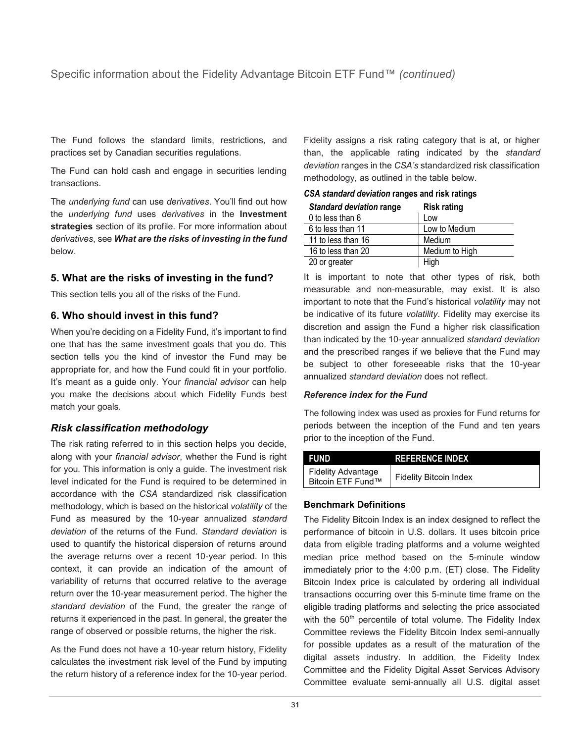The Fund follows the standard limits, restrictions, and practices set by Canadian securities regulations.

The Fund can hold cash and engage in securities lending transactions.

The *underlying fund* can use *derivatives*. You'll find out how the *underlying fund* uses *derivatives* in the **Investment strategies** section of its profile. For more information about *derivatives*, see *What are the risks of investing in the fund* below.

## **5. What are the risks of investing in the fund?**

This section tells you all of the risks of the Fund.

## **6. Who should invest in this fund?**

When you're deciding on a Fidelity Fund, it's important to find one that has the same investment goals that you do. This section tells you the kind of investor the Fund may be appropriate for, and how the Fund could fit in your portfolio. It's meant as a guide only. Your *financial advisor* can help you make the decisions about which Fidelity Funds best match your goals.

## *Risk classification methodology*

The risk rating referred to in this section helps you decide, along with your *financial advisor*, whether the Fund is right for you. This information is only a guide. The investment risk level indicated for the Fund is required to be determined in accordance with the *CSA* standardized risk classification methodology, which is based on the historical *volatility* of the Fund as measured by the 10-year annualized *standard deviation* of the returns of the Fund. *Standard deviation* is used to quantify the historical dispersion of returns around the average returns over a recent 10-year period. In this context, it can provide an indication of the amount of variability of returns that occurred relative to the average return over the 10-year measurement period. The higher the *standard deviation* of the Fund, the greater the range of returns it experienced in the past. In general, the greater the range of observed or possible returns, the higher the risk.

As the Fund does not have a 10-year return history, Fidelity calculates the investment risk level of the Fund by imputing the return history of a reference index for the 10-year period. Fidelity assigns a risk rating category that is at, or higher than, the applicable rating indicated by the *standard deviation* ranges in the *CSA's* standardized risk classification methodology, as outlined in the table below.

| <b>Standard deviation range</b> | <b>Risk rating</b> |
|---------------------------------|--------------------|
| 0 to less than 6                | Low                |
| 6 to less than 11               | Low to Medium      |
| 11 to less than 16              | Medium             |
| 16 to less than 20              | Medium to High     |
| 20 or greater                   | High               |

|  |  | CSA standard deviation ranges and risk ratings |  |  |  |  |
|--|--|------------------------------------------------|--|--|--|--|
|--|--|------------------------------------------------|--|--|--|--|

It is important to note that other types of risk, both measurable and non-measurable, may exist. It is also important to note that the Fund's historical *volatility* may not be indicative of its future *volatility*. Fidelity may exercise its discretion and assign the Fund a higher risk classification than indicated by the 10-year annualized *standard deviation*  and the prescribed ranges if we believe that the Fund may be subject to other foreseeable risks that the 10-year annualized *standard deviation* does not reflect.

#### *Reference index for the Fund*

The following index was used as proxies for Fund returns for periods between the inception of the Fund and ten years prior to the inception of the Fund.

| FUND                                           | <b>REFERENCE INDEX</b>        |
|------------------------------------------------|-------------------------------|
| <b>Fidelity Advantage</b><br>Bitcoin ETF Fund™ | <b>Fidelity Bitcoin Index</b> |

#### **Benchmark Definitions**

The Fidelity Bitcoin Index is an index designed to reflect the performance of bitcoin in U.S. dollars. It uses bitcoin price data from eligible trading platforms and a volume weighted median price method based on the 5-minute window immediately prior to the 4:00 p.m. (ET) close. The Fidelity Bitcoin Index price is calculated by ordering all individual transactions occurring over this 5-minute time frame on the eligible trading platforms and selecting the price associated with the 50<sup>th</sup> percentile of total volume. The Fidelity Index Committee reviews the Fidelity Bitcoin Index semi-annually for possible updates as a result of the maturation of the digital assets industry. In addition, the Fidelity Index Committee and the Fidelity Digital Asset Services Advisory Committee evaluate semi-annually all U.S. digital asset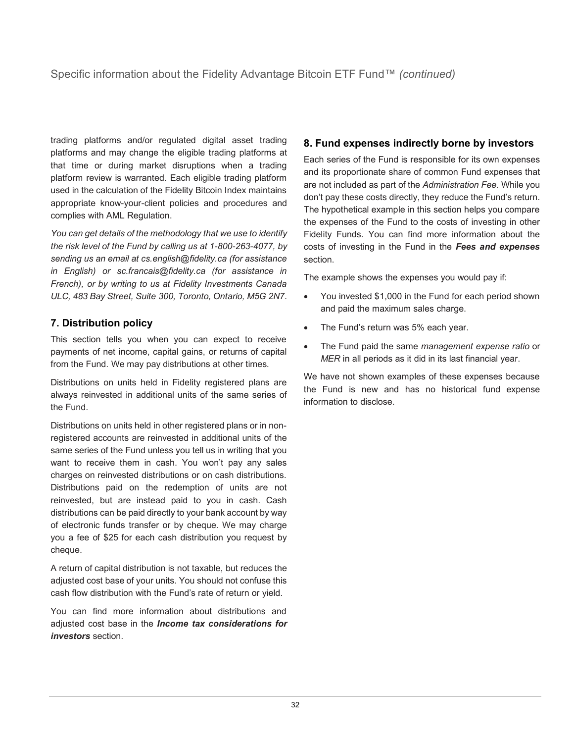trading platforms and/or regulated digital asset trading platforms and may change the eligible trading platforms at that time or during market disruptions when a trading platform review is warranted. Each eligible trading platform used in the calculation of the Fidelity Bitcoin Index maintains appropriate know-your-client policies and procedures and complies with AML Regulation.

*You can get details of the methodology that we use to identify the risk level of the Fund by calling us at 1-800-263-4077, by sending us an email at cs.english@fidelity.ca (for assistance in English) or sc.francais@fidelity.ca (for assistance in French), or by writing to us at Fidelity Investments Canada ULC, 483 Bay Street, Suite 300, Toronto, Ontario, M5G 2N7*.

## **7. Distribution policy**

This section tells you when you can expect to receive payments of net income, capital gains, or returns of capital from the Fund. We may pay distributions at other times.

Distributions on units held in Fidelity registered plans are always reinvested in additional units of the same series of the Fund.

Distributions on units held in other registered plans or in nonregistered accounts are reinvested in additional units of the same series of the Fund unless you tell us in writing that you want to receive them in cash. You won't pay any sales charges on reinvested distributions or on cash distributions. Distributions paid on the redemption of units are not reinvested, but are instead paid to you in cash. Cash distributions can be paid directly to your bank account by way of electronic funds transfer or by cheque. We may charge you a fee of \$25 for each cash distribution you request by cheque.

A return of capital distribution is not taxable, but reduces the adjusted cost base of your units. You should not confuse this cash flow distribution with the Fund's rate of return or yield.

You can find more information about distributions and adjusted cost base in the *Income tax considerations for investors* section.

## **8. Fund expenses indirectly borne by investors**

Each series of the Fund is responsible for its own expenses and its proportionate share of common Fund expenses that are not included as part of the *Administration Fee.* While you don't pay these costs directly, they reduce the Fund's return. The hypothetical example in this section helps you compare the expenses of the Fund to the costs of investing in other Fidelity Funds. You can find more information about the costs of investing in the Fund in the *Fees and expenses* section.

The example shows the expenses you would pay if:

- You invested \$1,000 in the Fund for each period shown and paid the maximum sales charge.
- The Fund's return was 5% each year.
- The Fund paid the same *management expense ratio* or *MER* in all periods as it did in its last financial year.

We have not shown examples of these expenses because the Fund is new and has no historical fund expense information to disclose.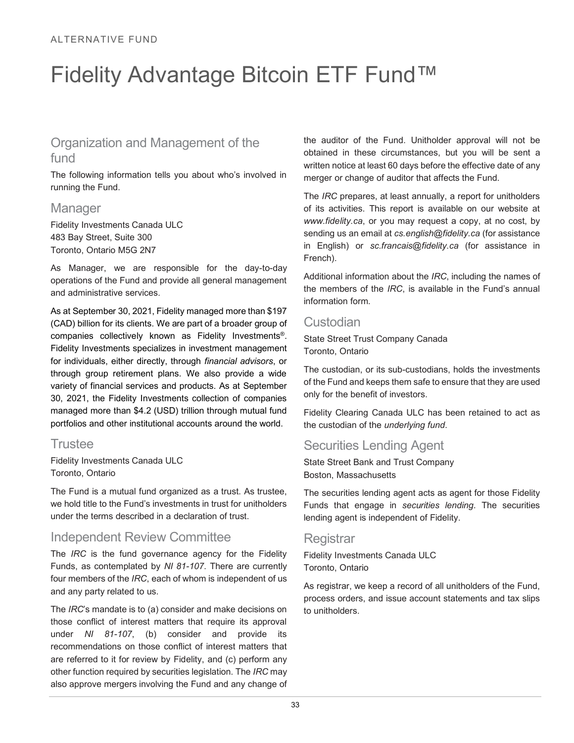## <span id="page-34-0"></span>Fidelity Advantage Bitcoin ETF Fund™

## Organization and Management of the fund

The following information tells you about who's involved in running the Fund.

## **Manager**

Fidelity Investments Canada ULC 483 Bay Street, Suite 300 Toronto, Ontario M5G 2N7

As Manager, we are responsible for the day-to-day operations of the Fund and provide all general management and administrative services.

As at September 30, 2021, Fidelity managed more than \$197 (CAD) billion for its clients. We are part of a broader group of companies collectively known as Fidelity Investments® . Fidelity Investments specializes in investment management for individuals, either directly, through *financial advisors*, or through group retirement plans. We also provide a wide variety of financial services and products. As at September 30, 2021, the Fidelity Investments collection of companies managed more than \$4.2 (USD) trillion through mutual fund portfolios and other institutional accounts around the world.

## **Trustee**

Fidelity Investments Canada ULC Toronto, Ontario

The Fund is a mutual fund organized as a trust. As trustee, we hold title to the Fund's investments in trust for unitholders under the terms described in a declaration of trust.

## Independent Review Committee

The *IRC* is the fund governance agency for the Fidelity Funds, as contemplated by *NI 81-107*. There are currently four members of the *IRC*, each of whom is independent of us and any party related to us.

The *IRC*'s mandate is to (a) consider and make decisions on those conflict of interest matters that require its approval under *NI 81-107*, (b) consider and provide its recommendations on those conflict of interest matters that are referred to it for review by Fidelity, and (c) perform any other function required by securities legislation. The *IRC* may also approve mergers involving the Fund and any change of the auditor of the Fund. Unitholder approval will not be obtained in these circumstances, but you will be sent a written notice at least 60 days before the effective date of any merger or change of auditor that affects the Fund.

The *IRC* prepares, at least annually, a report for unitholders of its activities. This report is available on our website at *www.fidelity.ca*, or you may request a copy, at no cost, by sending us an email at *cs.english@fidelity.ca* (for assistance in English) or *sc.francais@fidelity.ca* (for assistance in French).

Additional information about the *IRC*, including the names of the members of the *IRC*, is available in the Fund's annual information form.

## Custodian

State Street Trust Company Canada Toronto, Ontario

The custodian, or its sub-custodians, holds the investments of the Fund and keeps them safe to ensure that they are used only for the benefit of investors.

Fidelity Clearing Canada ULC has been retained to act as the custodian of the *underlying fund*.

## Securities Lending Agent

State Street Bank and Trust Company Boston, Massachusetts

The securities lending agent acts as agent for those Fidelity Funds that engage in *securities lending*. The securities lending agent is independent of Fidelity.

## **Registrar**

Fidelity Investments Canada ULC Toronto, Ontario

As registrar, we keep a record of all unitholders of the Fund, process orders, and issue account statements and tax slips to unitholders.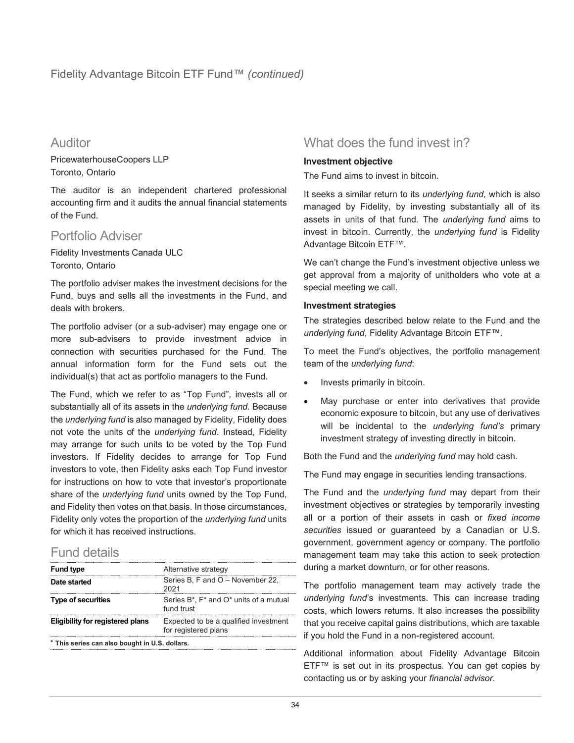Auditor

PricewaterhouseCoopers LLP Toronto, Ontario

The auditor is an independent chartered professional accounting firm and it audits the annual financial statements of the Fund.

## Portfolio Adviser

Fidelity Investments Canada ULC Toronto, Ontario

The portfolio adviser makes the investment decisions for the Fund, buys and sells all the investments in the Fund, and deals with brokers.

The portfolio adviser (or a sub-adviser) may engage one or more sub-advisers to provide investment advice in connection with securities purchased for the Fund. The annual information form for the Fund sets out the individual(s) that act as portfolio managers to the Fund.

The Fund, which we refer to as "Top Fund"*,* invests all or substantially all of its assets in the *underlying fund*. Because the *underlying fund* is also managed by Fidelity, Fidelity does not vote the units of the *underlying fund*. Instead, Fidelity may arrange for such units to be voted by the Top Fund investors. If Fidelity decides to arrange for Top Fund investors to vote, then Fidelity asks each Top Fund investor for instructions on how to vote that investor's proportionate share of the *underlying fund* units owned by the Top Fund, and Fidelity then votes on that basis. In those circumstances, Fidelity only votes the proportion of the *underlying fund* units for which it has received instructions.

## Fund details

| <b>Fund type</b>                               | Alternative strategy                                          |  |  |  |
|------------------------------------------------|---------------------------------------------------------------|--|--|--|
| Date started                                   | Series B. F and O - November 22.<br>1∩^1                      |  |  |  |
| <b>Type of securities</b>                      | Series B*, F* and O* units of a mutual<br>fund trust          |  |  |  |
| Eligibility for registered plans               | Expected to be a qualified investment<br>for registered plans |  |  |  |
| * This series can also bought in U.S. dollars. |                                                               |  |  |  |

What does the fund invest in?

#### **Investment objective**

The Fund aims to invest in bitcoin.

It seeks a similar return to its *underlying fund*, which is also managed by Fidelity, by investing substantially all of its assets in units of that fund. The *underlying fund* aims to invest in bitcoin. Currently, the *underlying fund* is Fidelity Advantage Bitcoin ETF™.

We can't change the Fund's investment objective unless we get approval from a majority of unitholders who vote at a special meeting we call.

#### **Investment strategies**

The strategies described below relate to the Fund and the *underlying fund*, Fidelity Advantage Bitcoin ETF™.

To meet the Fund's objectives, the portfolio management team of the *underlying fund*:

- Invests primarily in bitcoin.
- May purchase or enter into derivatives that provide economic exposure to bitcoin, but any use of derivatives will be incidental to the *underlying fund's* primary investment strategy of investing directly in bitcoin.

Both the Fund and the *underlying fund* may hold cash.

The Fund may engage in securities lending transactions.

The Fund and the *underlying fund* may depart from their investment objectives or strategies by temporarily investing all or a portion of their assets in cash or *fixed income securities* issued or guaranteed by a Canadian or U.S. government, government agency or company. The portfolio management team may take this action to seek protection during a market downturn, or for other reasons.

The portfolio management team may actively trade the *underlying fund*'s investments. This can increase trading costs, which lowers returns. It also increases the possibility that you receive capital gains distributions, which are taxable if you hold the Fund in a non-registered account.

Additional information about Fidelity Advantage Bitcoin ETF™ is set out in its prospectus. You can get copies by contacting us or by asking your *financial advisor*.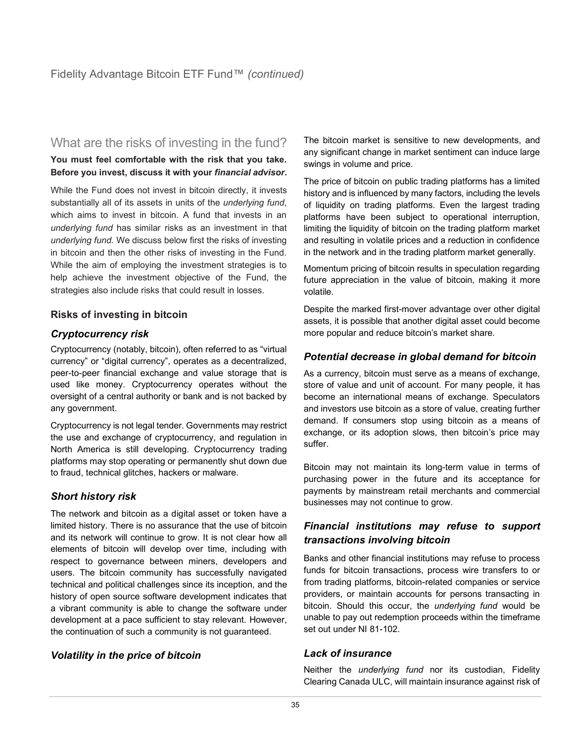## What are the risks of investing in the fund?

**You must feel comfortable with the risk that you take. Before you invest, discuss it with your** *financial advisor***.**

While the Fund does not invest in bitcoin directly, it invests substantially all of its assets in units of the *underlying fund*, which aims to invest in bitcoin. A fund that invests in an *underlying fund* has similar risks as an investment in that *underlying fund.* We discuss below first the risks of investing in bitcoin and then the other risks of investing in the Fund. While the aim of employing the investment strategies is to help achieve the investment objective of the Fund, the strategies also include risks that could result in losses.

## **Risks of investing in bitcoin**

#### *Cryptocurrency risk*

Cryptocurrency (notably, bitcoin), often referred to as "virtual currency" or "digital currency", operates as a decentralized, peer-to-peer financial exchange and value storage that is used like money. Cryptocurrency operates without the oversight of a central authority or bank and is not backed by any government.

Cryptocurrency is not legal tender. Governments may restrict the use and exchange of cryptocurrency, and regulation in North America is still developing. Cryptocurrency trading platforms may stop operating or permanently shut down due to fraud, technical glitches, hackers or malware.

## *Short history risk*

The network and bitcoin as a digital asset or token have a limited history. There is no assurance that the use of bitcoin and its network will continue to grow. It is not clear how all elements of bitcoin will develop over time, including with respect to governance between miners, developers and users. The bitcoin community has successfully navigated technical and political challenges since its inception, and the history of open source software development indicates that a vibrant community is able to change the software under development at a pace sufficient to stay relevant. However, the continuation of such a community is not guaranteed.

## *Volatility in the price of bitcoin*

The bitcoin market is sensitive to new developments, and any significant change in market sentiment can induce large swings in volume and price.

The price of bitcoin on public trading platforms has a limited history and is influenced by many factors, including the levels of liquidity on trading platforms. Even the largest trading platforms have been subject to operational interruption, limiting the liquidity of bitcoin on the trading platform market and resulting in volatile prices and a reduction in confidence in the network and in the trading platform market generally.

Momentum pricing of bitcoin results in speculation regarding future appreciation in the value of bitcoin, making it more volatile.

Despite the marked first-mover advantage over other digital assets, it is possible that another digital asset could become more popular and reduce bitcoin's market share.

## *Potential decrease in global demand for bitcoin*

As a currency, bitcoin must serve as a means of exchange, store of value and unit of account. For many people, it has become an international means of exchange. Speculators and investors use bitcoin as a store of value, creating further demand. If consumers stop using bitcoin as a means of exchange, or its adoption slows, then bitcoin's price may suffer.

Bitcoin may not maintain its long-term value in terms of purchasing power in the future and its acceptance for payments by mainstream retail merchants and commercial businesses may not continue to grow.

## *Financial institutions may refuse to support transactions involving bitcoin*

Banks and other financial institutions may refuse to process funds for bitcoin transactions, process wire transfers to or from trading platforms, bitcoin-related companies or service providers, or maintain accounts for persons transacting in bitcoin. Should this occur, the *underlying fund* would be unable to pay out redemption proceeds within the timeframe set out under NI 81-102.

## *Lack of insurance*

Neither the *underlying fund* nor its custodian, Fidelity Clearing Canada ULC, will maintain insurance against risk of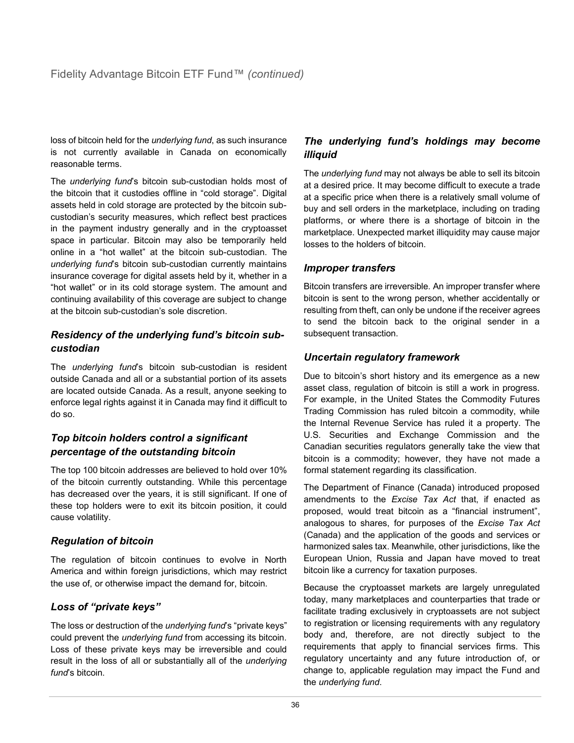loss of bitcoin held for the *underlying fund*, as such insurance is not currently available in Canada on economically reasonable terms.

The *underlying fund*'s bitcoin sub-custodian holds most of the bitcoin that it custodies offline in "cold storage". Digital assets held in cold storage are protected by the bitcoin subcustodian's security measures, which reflect best practices in the payment industry generally and in the cryptoasset space in particular. Bitcoin may also be temporarily held online in a "hot wallet" at the bitcoin sub-custodian. The *underlying fund*'s bitcoin sub-custodian currently maintains insurance coverage for digital assets held by it, whether in a "hot wallet" or in its cold storage system. The amount and continuing availability of this coverage are subject to change at the bitcoin sub-custodian's sole discretion.

## *Residency of the underlying fund's bitcoin subcustodian*

The *underlying fund*'s bitcoin sub-custodian is resident outside Canada and all or a substantial portion of its assets are located outside Canada. As a result, anyone seeking to enforce legal rights against it in Canada may find it difficult to do so.

## *Top bitcoin holders control a significant percentage of the outstanding bitcoin*

The top 100 bitcoin addresses are believed to hold over 10% of the bitcoin currently outstanding. While this percentage has decreased over the years, it is still significant. If one of these top holders were to exit its bitcoin position, it could cause volatility.

## *Regulation of bitcoin*

The regulation of bitcoin continues to evolve in North America and within foreign jurisdictions, which may restrict the use of, or otherwise impact the demand for, bitcoin.

## *Loss of "private keys"*

The loss or destruction of the *underlying fund*'s "private keys" could prevent the *underlying fund* from accessing its bitcoin. Loss of these private keys may be irreversible and could result in the loss of all or substantially all of the *underlying fund*'s bitcoin.

## *The underlying fund's holdings may become illiquid*

The *underlying fund* may not always be able to sell its bitcoin at a desired price. It may become difficult to execute a trade at a specific price when there is a relatively small volume of buy and sell orders in the marketplace, including on trading platforms, or where there is a shortage of bitcoin in the marketplace. Unexpected market illiquidity may cause major losses to the holders of bitcoin.

## *Improper transfers*

Bitcoin transfers are irreversible. An improper transfer where bitcoin is sent to the wrong person, whether accidentally or resulting from theft, can only be undone if the receiver agrees to send the bitcoin back to the original sender in a subsequent transaction.

## *Uncertain regulatory framework*

Due to bitcoin's short history and its emergence as a new asset class, regulation of bitcoin is still a work in progress. For example, in the United States the Commodity Futures Trading Commission has ruled bitcoin a commodity, while the Internal Revenue Service has ruled it a property. The U.S. Securities and Exchange Commission and the Canadian securities regulators generally take the view that bitcoin is a commodity; however, they have not made a formal statement regarding its classification.

The Department of Finance (Canada) introduced proposed amendments to the *Excise Tax Act* that, if enacted as proposed, would treat bitcoin as a "financial instrument", analogous to shares, for purposes of the *Excise Tax Act*  (Canada) and the application of the goods and services or harmonized sales tax. Meanwhile, other jurisdictions, like the European Union, Russia and Japan have moved to treat bitcoin like a currency for taxation purposes.

Because the cryptoasset markets are largely unregulated today, many marketplaces and counterparties that trade or facilitate trading exclusively in cryptoassets are not subject to registration or licensing requirements with any regulatory body and, therefore, are not directly subject to the requirements that apply to financial services firms. This regulatory uncertainty and any future introduction of, or change to, applicable regulation may impact the Fund and the *underlying fund*.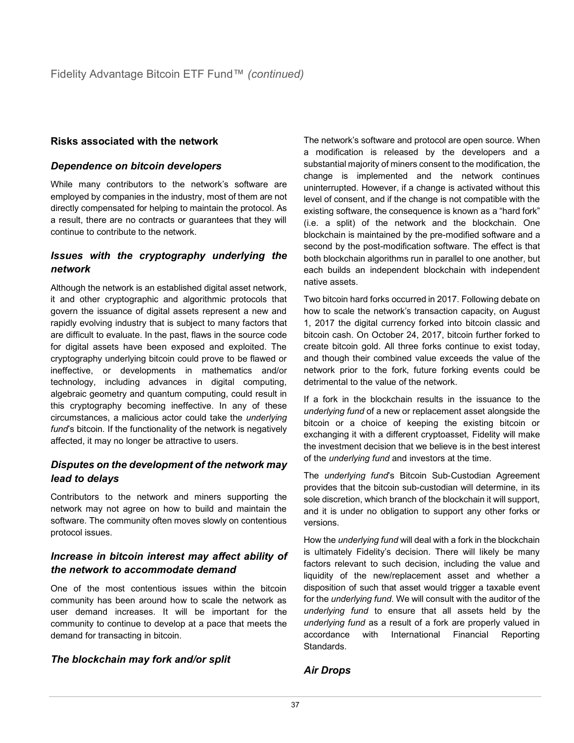## **Risks associated with the network**

## *Dependence on bitcoin developers*

While many contributors to the network's software are employed by companies in the industry, most of them are not directly compensated for helping to maintain the protocol. As a result, there are no contracts or guarantees that they will continue to contribute to the network.

## *Issues with the cryptography underlying the network*

Although the network is an established digital asset network, it and other cryptographic and algorithmic protocols that govern the issuance of digital assets represent a new and rapidly evolving industry that is subject to many factors that are difficult to evaluate. In the past, flaws in the source code for digital assets have been exposed and exploited. The cryptography underlying bitcoin could prove to be flawed or ineffective, or developments in mathematics and/or technology, including advances in digital computing, algebraic geometry and quantum computing, could result in this cryptography becoming ineffective. In any of these circumstances, a malicious actor could take the *underlying fund*'s bitcoin. If the functionality of the network is negatively affected, it may no longer be attractive to users.

## *Disputes on the development of the network may lead to delays*

Contributors to the network and miners supporting the network may not agree on how to build and maintain the software. The community often moves slowly on contentious protocol issues.

## *Increase in bitcoin interest may affect ability of the network to accommodate demand*

One of the most contentious issues within the bitcoin community has been around how to scale the network as user demand increases. It will be important for the community to continue to develop at a pace that meets the demand for transacting in bitcoin.

## *The blockchain may fork and/or split*

The network's software and protocol are open source. When a modification is released by the developers and a substantial majority of miners consent to the modification, the change is implemented and the network continues uninterrupted. However, if a change is activated without this level of consent, and if the change is not compatible with the existing software, the consequence is known as a "hard fork" (i.e. a split) of the network and the blockchain. One blockchain is maintained by the pre-modified software and a second by the post-modification software. The effect is that both blockchain algorithms run in parallel to one another, but each builds an independent blockchain with independent native assets.

Two bitcoin hard forks occurred in 2017. Following debate on how to scale the network's transaction capacity, on August 1, 2017 the digital currency forked into bitcoin classic and bitcoin cash. On October 24, 2017, bitcoin further forked to create bitcoin gold. All three forks continue to exist today, and though their combined value exceeds the value of the network prior to the fork, future forking events could be detrimental to the value of the network.

If a fork in the blockchain results in the issuance to the *underlying fund* of a new or replacement asset alongside the bitcoin or a choice of keeping the existing bitcoin or exchanging it with a different cryptoasset, Fidelity will make the investment decision that we believe is in the best interest of the *underlying fund* and investors at the time.

The *underlying fund*'s Bitcoin Sub-Custodian Agreement provides that the bitcoin sub-custodian will determine, in its sole discretion, which branch of the blockchain it will support, and it is under no obligation to support any other forks or versions.

How the *underlying fund* will deal with a fork in the blockchain is ultimately Fidelity's decision. There will likely be many factors relevant to such decision, including the value and liquidity of the new/replacement asset and whether a disposition of such that asset would trigger a taxable event for the *underlying fund*. We will consult with the auditor of the *underlying fund* to ensure that all assets held by the *underlying fund* as a result of a fork are properly valued in accordance with International Financial Reporting Standards.

## *Air Drops*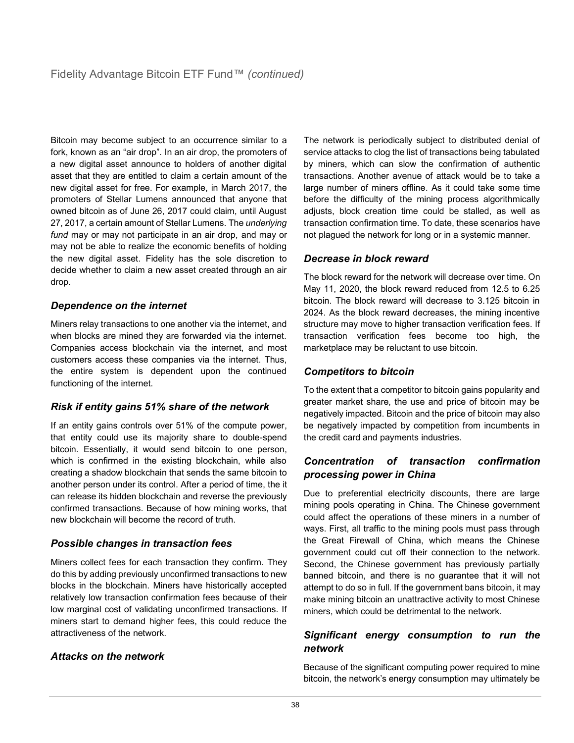Bitcoin may become subject to an occurrence similar to a fork, known as an "air drop". In an air drop, the promoters of a new digital asset announce to holders of another digital asset that they are entitled to claim a certain amount of the new digital asset for free. For example, in March 2017, the promoters of Stellar Lumens announced that anyone that owned bitcoin as of June 26, 2017 could claim, until August 27, 2017, a certain amount of Stellar Lumens. The *underlying fund* may or may not participate in an air drop, and may or may not be able to realize the economic benefits of holding the new digital asset. Fidelity has the sole discretion to decide whether to claim a new asset created through an air drop.

## *Dependence on the internet*

Miners relay transactions to one another via the internet, and when blocks are mined they are forwarded via the internet. Companies access blockchain via the internet, and most customers access these companies via the internet. Thus, the entire system is dependent upon the continued functioning of the internet.

## *Risk if entity gains 51% share of the network*

If an entity gains controls over 51% of the compute power, that entity could use its majority share to double-spend bitcoin. Essentially, it would send bitcoin to one person, which is confirmed in the existing blockchain, while also creating a shadow blockchain that sends the same bitcoin to another person under its control. After a period of time, the it can release its hidden blockchain and reverse the previously confirmed transactions. Because of how mining works, that new blockchain will become the record of truth.

## *Possible changes in transaction fees*

Miners collect fees for each transaction they confirm. They do this by adding previously unconfirmed transactions to new blocks in the blockchain. Miners have historically accepted relatively low transaction confirmation fees because of their low marginal cost of validating unconfirmed transactions. If miners start to demand higher fees, this could reduce the attractiveness of the network.

## *Attacks on the network*

The network is periodically subject to distributed denial of service attacks to clog the list of transactions being tabulated by miners, which can slow the confirmation of authentic transactions. Another avenue of attack would be to take a large number of miners offline. As it could take some time before the difficulty of the mining process algorithmically adjusts, block creation time could be stalled, as well as transaction confirmation time. To date, these scenarios have not plagued the network for long or in a systemic manner.

## *Decrease in block reward*

The block reward for the network will decrease over time. On May 11, 2020, the block reward reduced from 12.5 to 6.25 bitcoin. The block reward will decrease to 3.125 bitcoin in 2024. As the block reward decreases, the mining incentive structure may move to higher transaction verification fees. If transaction verification fees become too high, the marketplace may be reluctant to use bitcoin.

## *Competitors to bitcoin*

To the extent that a competitor to bitcoin gains popularity and greater market share, the use and price of bitcoin may be negatively impacted. Bitcoin and the price of bitcoin may also be negatively impacted by competition from incumbents in the credit card and payments industries.

## *Concentration of transaction confirmation processing power in China*

Due to preferential electricity discounts, there are large mining pools operating in China. The Chinese government could affect the operations of these miners in a number of ways. First, all traffic to the mining pools must pass through the Great Firewall of China, which means the Chinese government could cut off their connection to the network. Second, the Chinese government has previously partially banned bitcoin, and there is no guarantee that it will not attempt to do so in full. If the government bans bitcoin, it may make mining bitcoin an unattractive activity to most Chinese miners, which could be detrimental to the network.

## *Significant energy consumption to run the network*

Because of the significant computing power required to mine bitcoin, the network's energy consumption may ultimately be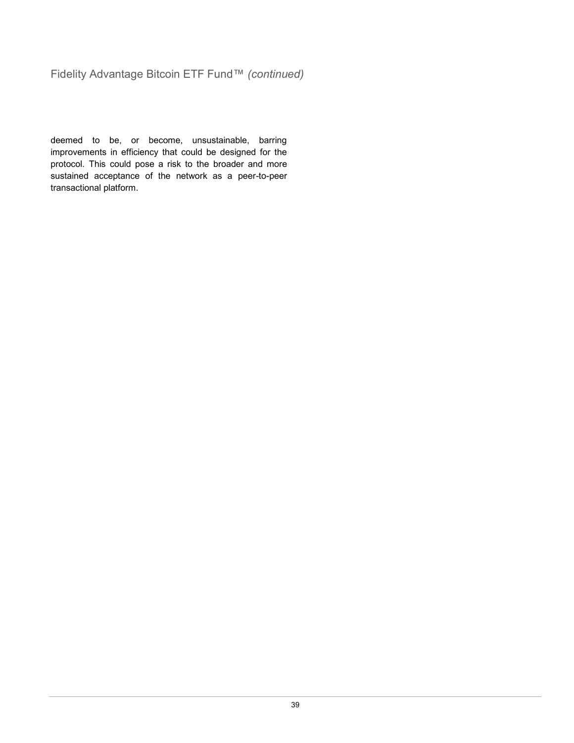## Fidelity Advantage Bitcoin ETF Fund™ *(continued)*

deemed to be, or become, unsustainable, barring improvements in efficiency that could be designed for the protocol. This could pose a risk to the broader and more sustained acceptance of the network as a peer-to-peer transactional platform.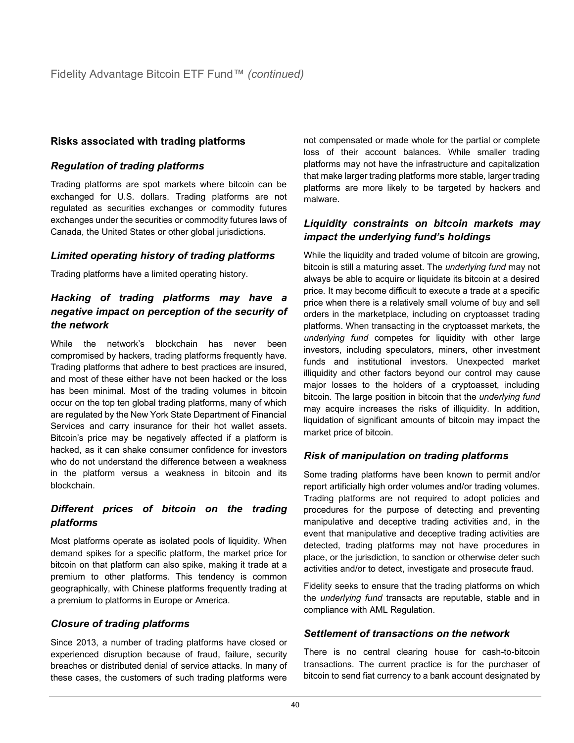## **Risks associated with trading platforms**

## *Regulation of trading platforms*

Trading platforms are spot markets where bitcoin can be exchanged for U.S. dollars. Trading platforms are not regulated as securities exchanges or commodity futures exchanges under the securities or commodity futures laws of Canada, the United States or other global jurisdictions.

## *Limited operating history of trading platforms*

Trading platforms have a limited operating history.

## *Hacking of trading platforms may have a negative impact on perception of the security of the network*

While the network's blockchain has never been compromised by hackers, trading platforms frequently have. Trading platforms that adhere to best practices are insured, and most of these either have not been hacked or the loss has been minimal. Most of the trading volumes in bitcoin occur on the top ten global trading platforms, many of which are regulated by the New York State Department of Financial Services and carry insurance for their hot wallet assets. Bitcoin's price may be negatively affected if a platform is hacked, as it can shake consumer confidence for investors who do not understand the difference between a weakness in the platform versus a weakness in bitcoin and its blockchain.

## *Different prices of bitcoin on the trading platforms*

Most platforms operate as isolated pools of liquidity. When demand spikes for a specific platform, the market price for bitcoin on that platform can also spike, making it trade at a premium to other platforms. This tendency is common geographically, with Chinese platforms frequently trading at a premium to platforms in Europe or America.

## *Closure of trading platforms*

Since 2013, a number of trading platforms have closed or experienced disruption because of fraud, failure, security breaches or distributed denial of service attacks. In many of these cases, the customers of such trading platforms were not compensated or made whole for the partial or complete loss of their account balances. While smaller trading platforms may not have the infrastructure and capitalization that make larger trading platforms more stable, larger trading platforms are more likely to be targeted by hackers and malware.

## *Liquidity constraints on bitcoin markets may impact the underlying fund's holdings*

While the liquidity and traded volume of bitcoin are growing, bitcoin is still a maturing asset. The *underlying fund* may not always be able to acquire or liquidate its bitcoin at a desired price. It may become difficult to execute a trade at a specific price when there is a relatively small volume of buy and sell orders in the marketplace, including on cryptoasset trading platforms. When transacting in the cryptoasset markets, the *underlying fund* competes for liquidity with other large investors, including speculators, miners, other investment funds and institutional investors. Unexpected market illiquidity and other factors beyond our control may cause major losses to the holders of a cryptoasset, including bitcoin. The large position in bitcoin that the *underlying fund* may acquire increases the risks of illiquidity. In addition, liquidation of significant amounts of bitcoin may impact the market price of bitcoin.

## *Risk of manipulation on trading platforms*

Some trading platforms have been known to permit and/or report artificially high order volumes and/or trading volumes. Trading platforms are not required to adopt policies and procedures for the purpose of detecting and preventing manipulative and deceptive trading activities and, in the event that manipulative and deceptive trading activities are detected, trading platforms may not have procedures in place, or the jurisdiction, to sanction or otherwise deter such activities and/or to detect, investigate and prosecute fraud.

Fidelity seeks to ensure that the trading platforms on which the *underlying fund* transacts are reputable, stable and in compliance with AML Regulation.

## *Settlement of transactions on the network*

There is no central clearing house for cash-to-bitcoin transactions. The current practice is for the purchaser of bitcoin to send fiat currency to a bank account designated by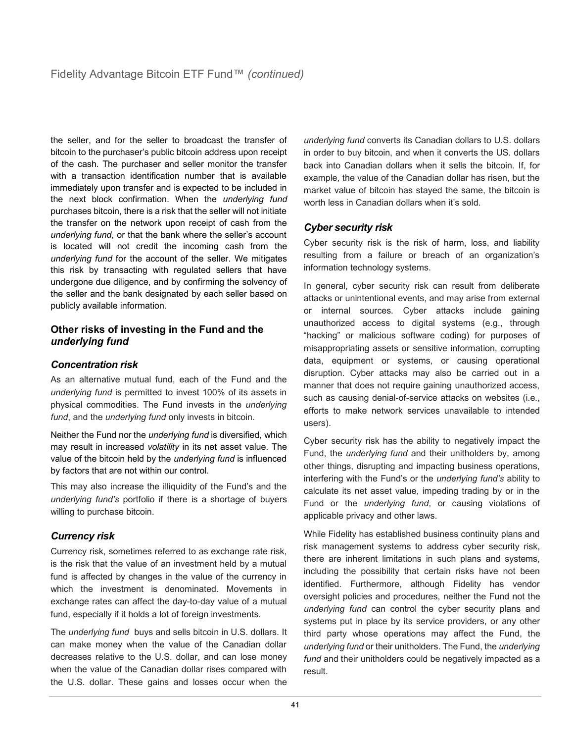the seller, and for the seller to broadcast the transfer of bitcoin to the purchaser's public bitcoin address upon receipt of the cash. The purchaser and seller monitor the transfer with a transaction identification number that is available immediately upon transfer and is expected to be included in the next block confirmation. When the *underlying fund*  purchases bitcoin, there is a risk that the seller will not initiate the transfer on the network upon receipt of cash from the *underlying fund*, or that the bank where the seller's account is located will not credit the incoming cash from the *underlying fund* for the account of the seller. We mitigates this risk by transacting with regulated sellers that have undergone due diligence, and by confirming the solvency of the seller and the bank designated by each seller based on publicly available information.

#### **Other risks of investing in the Fund and the**  *underlying fund*

## *Concentration risk*

As an alternative mutual fund, each of the Fund and the *underlying fund* is permitted to invest 100% of its assets in physical commodities. The Fund invests in the *underlying fund*, and the *underlying fund* only invests in bitcoin.

Neither the Fund nor the *underlying fund* is diversified, which may result in increased *volatility* in its net asset value. The value of the bitcoin held by the *underlying fund* is influenced by factors that are not within our control.

This may also increase the illiquidity of the Fund's and the *underlying fund's* portfolio if there is a shortage of buyers willing to purchase bitcoin.

## *Currency risk*

Currency risk, sometimes referred to as exchange rate risk, is the risk that the value of an investment held by a mutual fund is affected by changes in the value of the currency in which the investment is denominated. Movements in exchange rates can affect the day-to-day value of a mutual fund, especially if it holds a lot of foreign investments.

The *underlying fund* buys and sells bitcoin in U.S. dollars. It can make money when the value of the Canadian dollar decreases relative to the U.S. dollar, and can lose money when the value of the Canadian dollar rises compared with the U.S. dollar. These gains and losses occur when the *underlying fund* converts its Canadian dollars to U.S. dollars in order to buy bitcoin, and when it converts the US. dollars back into Canadian dollars when it sells the bitcoin. If, for example, the value of the Canadian dollar has risen, but the market value of bitcoin has stayed the same, the bitcoin is worth less in Canadian dollars when it's sold.

## *Cyber security risk*

Cyber security risk is the risk of harm, loss, and liability resulting from a failure or breach of an organization's information technology systems.

In general, cyber security risk can result from deliberate attacks or unintentional events, and may arise from external or internal sources. Cyber attacks include gaining unauthorized access to digital systems (e.g., through "hacking" or malicious software coding) for purposes of misappropriating assets or sensitive information, corrupting data, equipment or systems, or causing operational disruption. Cyber attacks may also be carried out in a manner that does not require gaining unauthorized access, such as causing denial-of-service attacks on websites (i.e., efforts to make network services unavailable to intended users).

Cyber security risk has the ability to negatively impact the Fund, the *underlying fund* and their unitholders by, among other things, disrupting and impacting business operations, interfering with the Fund's or the *underlying fund's* ability to calculate its net asset value, impeding trading by or in the Fund or the *underlying fund*, or causing violations of applicable privacy and other laws.

While Fidelity has established business continuity plans and risk management systems to address cyber security risk, there are inherent limitations in such plans and systems, including the possibility that certain risks have not been identified. Furthermore, although Fidelity has vendor oversight policies and procedures, neither the Fund not the *underlying fund* can control the cyber security plans and systems put in place by its service providers, or any other third party whose operations may affect the Fund, the *underlying fund* or their unitholders. The Fund, the *underlying fund* and their unitholders could be negatively impacted as a result.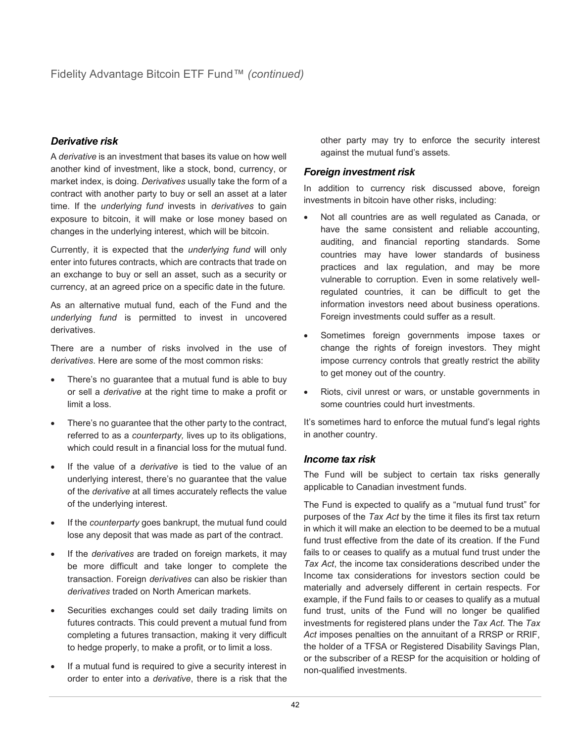## *Derivative risk*

A *derivative* is an investment that bases its value on how well another kind of investment, like a stock, bond, currency, or market index, is doing. *Derivatives* usually take the form of a contract with another party to buy or sell an asset at a later time. If the *underlying fund* invests in *derivatives* to gain exposure to bitcoin, it will make or lose money based on changes in the underlying interest, which will be bitcoin.

Currently, it is expected that the *underlying fund* will only enter into futures contracts, which are contracts that trade on an exchange to buy or sell an asset, such as a security or currency, at an agreed price on a specific date in the future.

As an alternative mutual fund, each of the Fund and the *underlying fund* is permitted to invest in uncovered derivatives.

There are a number of risks involved in the use of *derivatives*. Here are some of the most common risks:

- There's no quarantee that a mutual fund is able to buy or sell a *derivative* at the right time to make a profit or limit a loss.
- There's no guarantee that the other party to the contract, referred to as a *counterparty,* lives up to its obligations, which could result in a financial loss for the mutual fund.
- If the value of a *derivative* is tied to the value of an underlying interest, there's no guarantee that the value of the *derivative* at all times accurately reflects the value of the underlying interest.
- If the *counterparty* goes bankrupt, the mutual fund could lose any deposit that was made as part of the contract.
- If the *derivatives* are traded on foreign markets, it may be more difficult and take longer to complete the transaction. Foreign *derivatives* can also be riskier than *derivatives* traded on North American markets.
- Securities exchanges could set daily trading limits on futures contracts. This could prevent a mutual fund from completing a futures transaction, making it very difficult to hedge properly, to make a profit, or to limit a loss.
- If a mutual fund is required to give a security interest in order to enter into a *derivative*, there is a risk that the

other party may try to enforce the security interest against the mutual fund's assets.

#### *Foreign investment risk*

In addition to currency risk discussed above, foreign investments in bitcoin have other risks, including:

- Not all countries are as well regulated as Canada, or have the same consistent and reliable accounting, auditing, and financial reporting standards. Some countries may have lower standards of business practices and lax regulation, and may be more vulnerable to corruption. Even in some relatively wellregulated countries, it can be difficult to get the information investors need about business operations. Foreign investments could suffer as a result.
- Sometimes foreign governments impose taxes or change the rights of foreign investors. They might impose currency controls that greatly restrict the ability to get money out of the country.
- Riots, civil unrest or wars, or unstable governments in some countries could hurt investments.

It's sometimes hard to enforce the mutual fund's legal rights in another country.

## *Income tax risk*

The Fund will be subject to certain tax risks generally applicable to Canadian investment funds.

The Fund is expected to qualify as a "mutual fund trust" for purposes of the *Tax Act* by the time it files its first tax return in which it will make an election to be deemed to be a mutual fund trust effective from the date of its creation. If the Fund fails to or ceases to qualify as a mutual fund trust under the *Tax Act*, the income tax considerations described under the Income tax considerations for investors section could be materially and adversely different in certain respects. For example, if the Fund fails to or ceases to qualify as a mutual fund trust, units of the Fund will no longer be qualified investments for registered plans under the *Tax Act*. The *Tax Act* imposes penalties on the annuitant of a RRSP or RRIF, the holder of a TFSA or Registered Disability Savings Plan, or the subscriber of a RESP for the acquisition or holding of non-qualified investments.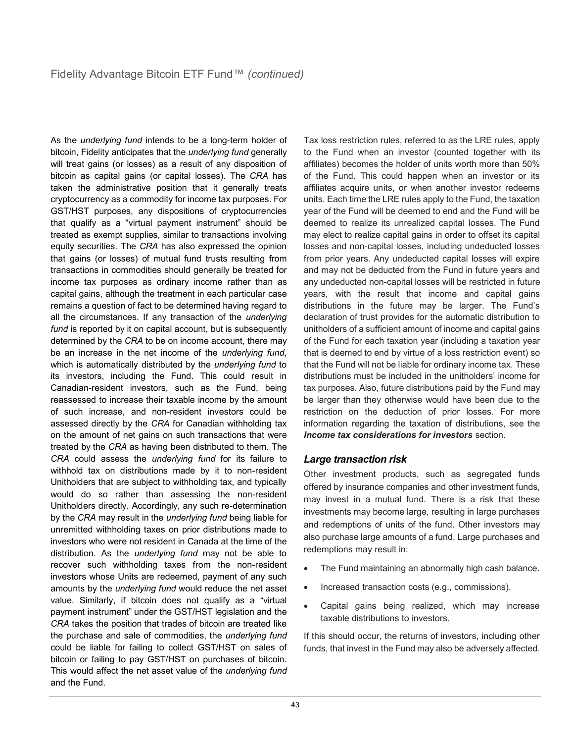As the *underlying fund* intends to be a long-term holder of bitcoin, Fidelity anticipates that the *underlying fund* generally will treat gains (or losses) as a result of any disposition of bitcoin as capital gains (or capital losses). The *CRA* has taken the administrative position that it generally treats cryptocurrency as a commodity for income tax purposes. For GST/HST purposes, any dispositions of cryptocurrencies that qualify as a "virtual payment instrument" should be treated as exempt supplies, similar to transactions involving equity securities. The *CRA* has also expressed the opinion that gains (or losses) of mutual fund trusts resulting from transactions in commodities should generally be treated for income tax purposes as ordinary income rather than as capital gains, although the treatment in each particular case remains a question of fact to be determined having regard to all the circumstances. If any transaction of the *underlying*  fund is reported by it on capital account, but is subsequently determined by the *CRA* to be on income account, there may be an increase in the net income of the *underlying fund*, which is automatically distributed by the *underlying fund* to its investors, including the Fund. This could result in Canadian-resident investors, such as the Fund, being reassessed to increase their taxable income by the amount of such increase, and non-resident investors could be assessed directly by the *CRA* for Canadian withholding tax on the amount of net gains on such transactions that were treated by the *CRA* as having been distributed to them. The *CRA* could assess the *underlying fund* for its failure to withhold tax on distributions made by it to non-resident Unitholders that are subject to withholding tax, and typically would do so rather than assessing the non-resident Unitholders directly. Accordingly, any such re-determination by the *CRA* may result in the *underlying fund* being liable for unremitted withholding taxes on prior distributions made to investors who were not resident in Canada at the time of the distribution. As the *underlying fund* may not be able to recover such withholding taxes from the non-resident investors whose Units are redeemed, payment of any such amounts by the *underlying fund* would reduce the net asset value. Similarly, if bitcoin does not qualify as a "virtual payment instrument" under the GST/HST legislation and the *CRA* takes the position that trades of bitcoin are treated like the purchase and sale of commodities, the *underlying fund* could be liable for failing to collect GST/HST on sales of bitcoin or failing to pay GST/HST on purchases of bitcoin. This would affect the net asset value of the *underlying fund* and the Fund.

Tax loss restriction rules, referred to as the LRE rules, apply to the Fund when an investor (counted together with its affiliates) becomes the holder of units worth more than 50% of the Fund. This could happen when an investor or its affiliates acquire units, or when another investor redeems units. Each time the LRE rules apply to the Fund, the taxation year of the Fund will be deemed to end and the Fund will be deemed to realize its unrealized capital losses. The Fund may elect to realize capital gains in order to offset its capital losses and non-capital losses, including undeducted losses from prior years. Any undeducted capital losses will expire and may not be deducted from the Fund in future years and any undeducted non-capital losses will be restricted in future years, with the result that income and capital gains distributions in the future may be larger. The Fund's declaration of trust provides for the automatic distribution to unitholders of a sufficient amount of income and capital gains of the Fund for each taxation year (including a taxation year that is deemed to end by virtue of a loss restriction event) so that the Fund will not be liable for ordinary income tax. These distributions must be included in the unitholders' income for tax purposes. Also, future distributions paid by the Fund may be larger than they otherwise would have been due to the restriction on the deduction of prior losses. For more information regarding the taxation of distributions, see the *Income tax considerations for investors* section.

## *Large transaction risk*

Other investment products, such as segregated funds offered by insurance companies and other investment funds, may invest in a mutual fund. There is a risk that these investments may become large, resulting in large purchases and redemptions of units of the fund. Other investors may also purchase large amounts of a fund. Large purchases and redemptions may result in:

- The Fund maintaining an abnormally high cash balance.
- Increased transaction costs (e.g., commissions).
- Capital gains being realized, which may increase taxable distributions to investors.

If this should occur, the returns of investors, including other funds, that invest in the Fund may also be adversely affected.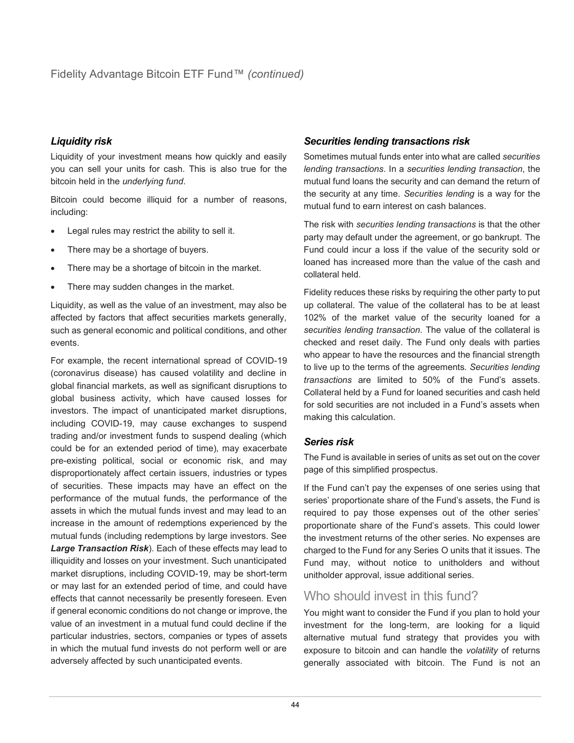## *Liquidity risk*

Liquidity of your investment means how quickly and easily you can sell your units for cash. This is also true for the bitcoin held in the *underlying fund*.

Bitcoin could become illiquid for a number of reasons, including:

- Legal rules may restrict the ability to sell it.
- There may be a shortage of buyers.
- There may be a shortage of bitcoin in the market.
- There may sudden changes in the market.

Liquidity, as well as the value of an investment, may also be affected by factors that affect securities markets generally, such as general economic and political conditions, and other events.

For example, the recent international spread of COVID-19 (coronavirus disease) has caused volatility and decline in global financial markets, as well as significant disruptions to global business activity, which have caused losses for investors. The impact of unanticipated market disruptions, including COVID-19, may cause exchanges to suspend trading and/or investment funds to suspend dealing (which could be for an extended period of time), may exacerbate pre-existing political, social or economic risk, and may disproportionately affect certain issuers, industries or types of securities. These impacts may have an effect on the performance of the mutual funds, the performance of the assets in which the mutual funds invest and may lead to an increase in the amount of redemptions experienced by the mutual funds (including redemptions by large investors. See *Large Transaction Risk*). Each of these effects may lead to illiquidity and losses on your investment. Such unanticipated market disruptions, including COVID-19, may be short-term or may last for an extended period of time, and could have effects that cannot necessarily be presently foreseen. Even if general economic conditions do not change or improve, the value of an investment in a mutual fund could decline if the particular industries, sectors, companies or types of assets in which the mutual fund invests do not perform well or are adversely affected by such unanticipated events.

## *Securities lending transactions risk*

Sometimes mutual funds enter into what are called *securities lending transactions*. In a *securities lending transaction*, the mutual fund loans the security and can demand the return of the security at any time. *Securities lending* is a way for the mutual fund to earn interest on cash balances.

The risk with *securities lending transactions* is that the other party may default under the agreement, or go bankrupt. The Fund could incur a loss if the value of the security sold or loaned has increased more than the value of the cash and collateral held.

Fidelity reduces these risks by requiring the other party to put up collateral. The value of the collateral has to be at least 102% of the market value of the security loaned for a *securities lending transaction*. The value of the collateral is checked and reset daily. The Fund only deals with parties who appear to have the resources and the financial strength to live up to the terms of the agreements. *Securities lending transactions* are limited to 50% of the Fund's assets. Collateral held by a Fund for loaned securities and cash held for sold securities are not included in a Fund's assets when making this calculation.

## *Series risk*

The Fund is available in series of units as set out on the cover page of this simplified prospectus.

If the Fund can't pay the expenses of one series using that series' proportionate share of the Fund's assets, the Fund is required to pay those expenses out of the other series' proportionate share of the Fund's assets. This could lower the investment returns of the other series. No expenses are charged to the Fund for any Series O units that it issues. The Fund may, without notice to unitholders and without unitholder approval, issue additional series.

## Who should invest in this fund?

You might want to consider the Fund if you plan to hold your investment for the long-term, are looking for a liquid alternative mutual fund strategy that provides you with exposure to bitcoin and can handle the *volatility* of returns generally associated with bitcoin. The Fund is not an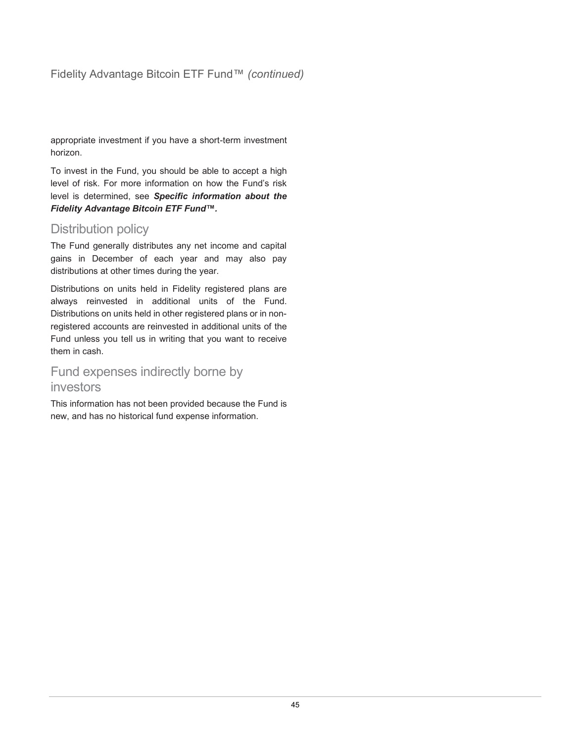## Fidelity Advantage Bitcoin ETF Fund™ *(continued)*

appropriate investment if you have a short-term investment horizon.

To invest in the Fund, you should be able to accept a high level of risk. For more information on how the Fund's risk level is determined, see *Specific information about the Fidelity Advantage Bitcoin ETF Fund™.*

## Distribution policy

The Fund generally distributes any net income and capital gains in December of each year and may also pay distributions at other times during the year.

Distributions on units held in Fidelity registered plans are always reinvested in additional units of the Fund. Distributions on units held in other registered plans or in nonregistered accounts are reinvested in additional units of the Fund unless you tell us in writing that you want to receive them in cash.

## Fund expenses indirectly borne by investors

This information has not been provided because the Fund is new, and has no historical fund expense information.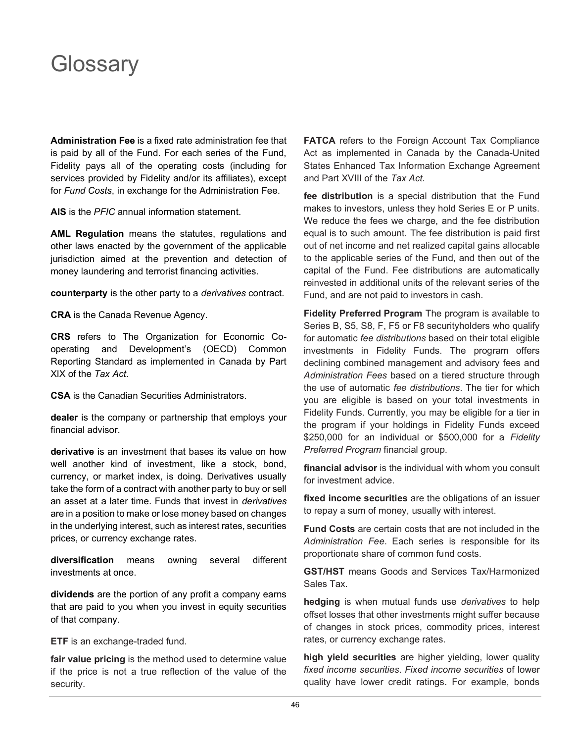## <span id="page-47-0"></span>**Glossary**

**Administration Fee** is a fixed rate administration fee that is paid by all of the Fund. For each series of the Fund, Fidelity pays all of the operating costs (including for services provided by Fidelity and/or its affiliates), except for *Fund Costs*, in exchange for the Administration Fee.

**AIS** is the *PFIC* annual information statement.

**AML Regulation** means the statutes, regulations and other laws enacted by the government of the applicable jurisdiction aimed at the prevention and detection of money laundering and terrorist financing activities.

**counterparty** is the other party to a *derivatives* contract.

**CRA** is the Canada Revenue Agency.

**CRS** refers to The Organization for Economic Cooperating and Development's (OECD) Common Reporting Standard as implemented in Canada by Part XIX of the *Tax Act*.

**CSA** is the Canadian Securities Administrators.

**dealer** is the company or partnership that employs your financial advisor.

**derivative** is an investment that bases its value on how well another kind of investment, like a stock, bond, currency, or market index, is doing. Derivatives usually take the form of a contract with another party to buy or sell an asset at a later time. Funds that invest in *derivatives* are in a position to make or lose money based on changes in the underlying interest, such as interest rates, securities prices, or currency exchange rates.

**diversification** means owning several different investments at once.

**dividends** are the portion of any profit a company earns that are paid to you when you invest in equity securities of that company.

**ETF** is an exchange-traded fund.

**fair value pricing** is the method used to determine value if the price is not a true reflection of the value of the security.

**FATCA** refers to the Foreign Account Tax Compliance Act as implemented in Canada by the Canada-United States Enhanced Tax Information Exchange Agreement and Part XVIII of the *Tax Act*.

**fee distribution** is a special distribution that the Fund makes to investors, unless they hold Series E or P units. We reduce the fees we charge, and the fee distribution equal is to such amount. The fee distribution is paid first out of net income and net realized capital gains allocable to the applicable series of the Fund, and then out of the capital of the Fund. Fee distributions are automatically reinvested in additional units of the relevant series of the Fund, and are not paid to investors in cash.

**Fidelity Preferred Program** The program is available to Series B, S5, S8, F, F5 or F8 securityholders who qualify for automatic *fee distributions* based on their total eligible investments in Fidelity Funds. The program offers declining combined management and advisory fees and *Administration Fees* based on a tiered structure through the use of automatic *fee distributions*. The tier for which you are eligible is based on your total investments in Fidelity Funds. Currently, you may be eligible for a tier in the program if your holdings in Fidelity Funds exceed \$250,000 for an individual or \$500,000 for a *Fidelity Preferred Program* financial group.

**financial advisor** is the individual with whom you consult for investment advice.

**fixed income securities** are the obligations of an issuer to repay a sum of money, usually with interest.

**Fund Costs** are certain costs that are not included in the *Administration Fee*. Each series is responsible for its proportionate share of common fund costs.

**GST/HST** means Goods and Services Tax/Harmonized Sales Tax.

**hedging** is when mutual funds use *derivatives* to help offset losses that other investments might suffer because of changes in stock prices, commodity prices, interest rates, or currency exchange rates.

**high yield securities** are higher yielding, lower quality *fixed income securities*. *Fixed income securities* of lower quality have lower credit ratings. For example, bonds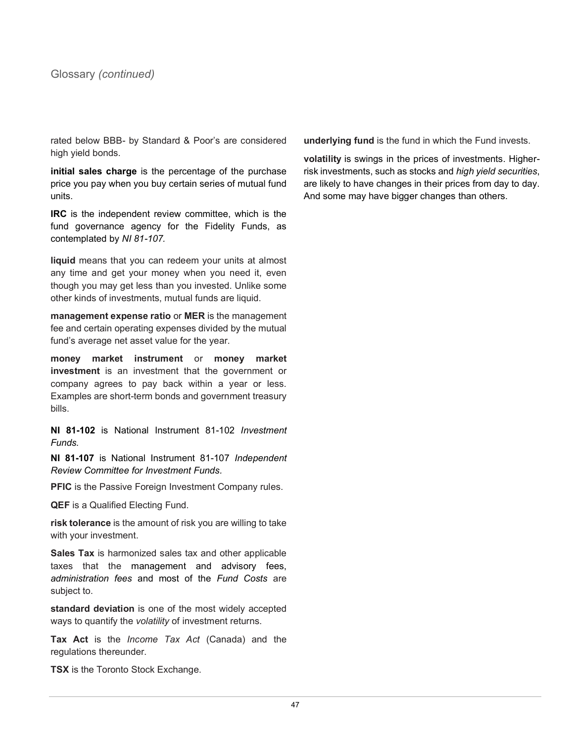rated below BBB- by Standard & Poor's are considered high yield bonds.

**initial sales charge** is the percentage of the purchase price you pay when you buy certain series of mutual fund units.

**IRC** is the independent review committee, which is the fund governance agency for the Fidelity Funds, as contemplated by *NI 81-107.*

**liquid** means that you can redeem your units at almost any time and get your money when you need it, even though you may get less than you invested. Unlike some other kinds of investments, mutual funds are liquid.

**management expense ratio** or **MER** is the management fee and certain operating expenses divided by the mutual fund's average net asset value for the year.

**money market instrument** or **money market investment** is an investment that the government or company agrees to pay back within a year or less. Examples are short-term bonds and government treasury bills.

**NI 81-102** is National Instrument 81-102 *Investment Funds.*

**NI 81-107** is National Instrument 81-107 *Independent Review Committee for Investment Funds.*

**PFIC** is the Passive Foreign Investment Company rules.

**QEF** is a Qualified Electing Fund.

**risk tolerance** is the amount of risk you are willing to take with your investment.

**Sales Tax** is harmonized sales tax and other applicable taxes that the management and advisory fees, *administration fees* and most of the *Fund Costs* are subject to.

**standard deviation** is one of the most widely accepted ways to quantify the *volatility* of investment returns.

**Tax Act** is the *Income Tax Act* (Canada) and the regulations thereunder.

**TSX** is the Toronto Stock Exchange.

**underlying fund** is the fund in which the Fund invests.

**volatility** is swings in the prices of investments. Higherrisk investments, such as stocks and *high yield securities*, are likely to have changes in their prices from day to day. And some may have bigger changes than others.